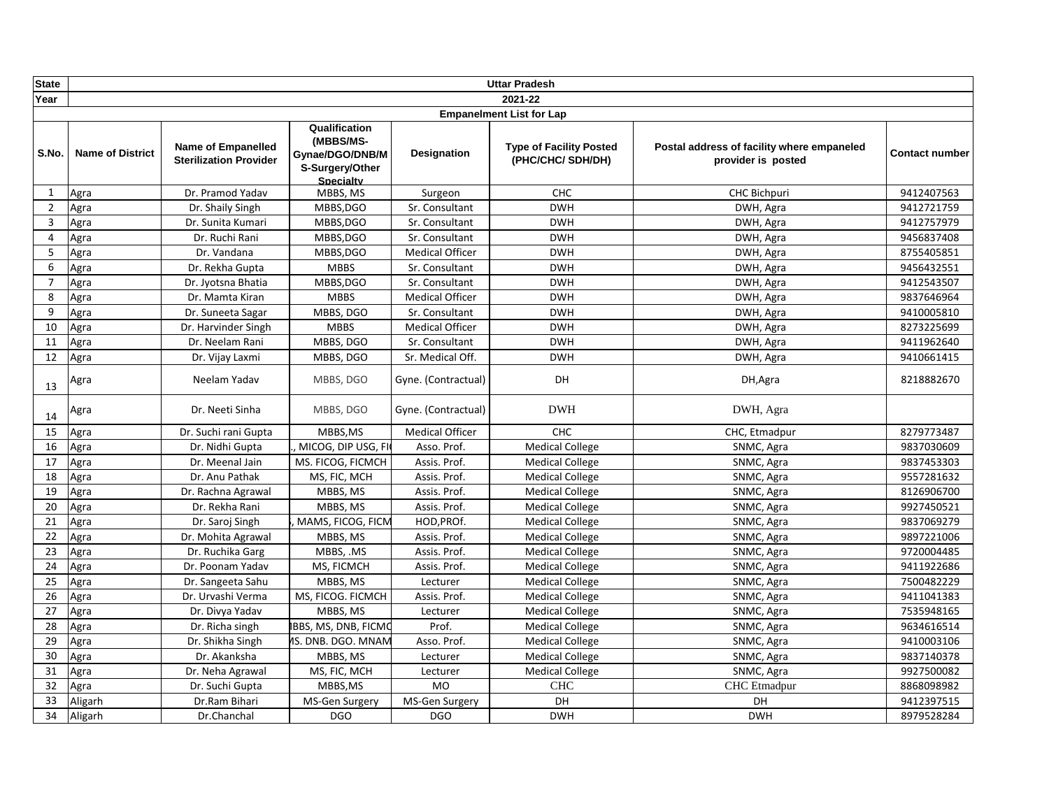| <b>State</b>   |                         |                                                            |                                                                                      |                        | <b>Uttar Pradesh</b>                                |                                                                  |                       |
|----------------|-------------------------|------------------------------------------------------------|--------------------------------------------------------------------------------------|------------------------|-----------------------------------------------------|------------------------------------------------------------------|-----------------------|
| Year           |                         |                                                            |                                                                                      |                        | 2021-22                                             |                                                                  |                       |
|                |                         |                                                            |                                                                                      |                        | <b>Empanelment List for Lap</b>                     |                                                                  |                       |
| S.No.          | <b>Name of District</b> | <b>Name of Empanelled</b><br><b>Sterilization Provider</b> | Qualification<br>(MBBS/MS-<br>Gynae/DGO/DNB/M<br>S-Surgery/Other<br><b>Specialty</b> | <b>Designation</b>     | <b>Type of Facility Posted</b><br>(PHC/CHC/ SDH/DH) | Postal address of facility where empaneled<br>provider is posted | <b>Contact number</b> |
| 1              | Agra                    | Dr. Pramod Yadav                                           | MBBS, MS                                                                             | Surgeon                | CHC                                                 | <b>CHC Bichpuri</b>                                              | 9412407563            |
| $\overline{2}$ | Agra                    | Dr. Shaily Singh                                           | MBBS, DGO                                                                            | Sr. Consultant         | <b>DWH</b>                                          | DWH, Agra                                                        | 9412721759            |
| $\overline{3}$ | Agra                    | Dr. Sunita Kumari                                          | MBBS, DGO                                                                            | Sr. Consultant         | <b>DWH</b>                                          | DWH, Agra                                                        | 9412757979            |
| 4              | Agra                    | Dr. Ruchi Rani                                             | MBBS, DGO                                                                            | Sr. Consultant         | <b>DWH</b>                                          | DWH, Agra                                                        | 9456837408            |
| 5              | Agra                    | Dr. Vandana                                                | MBBS, DGO                                                                            | <b>Medical Officer</b> | <b>DWH</b>                                          | DWH, Agra                                                        | 8755405851            |
| 6              | Agra                    | Dr. Rekha Gupta                                            | <b>MBBS</b>                                                                          | Sr. Consultant         | <b>DWH</b>                                          | DWH, Agra                                                        | 9456432551            |
| $\overline{7}$ | Agra                    | Dr. Jyotsna Bhatia                                         | MBBS, DGO                                                                            | Sr. Consultant         | <b>DWH</b>                                          | DWH, Agra                                                        | 9412543507            |
| 8              | Agra                    | Dr. Mamta Kiran                                            | <b>MBBS</b>                                                                          | <b>Medical Officer</b> | <b>DWH</b>                                          | DWH, Agra                                                        | 9837646964            |
| 9              | Agra                    | Dr. Suneeta Sagar                                          | MBBS, DGO                                                                            | Sr. Consultant         | <b>DWH</b>                                          | DWH, Agra                                                        | 9410005810            |
| 10             | Agra                    | Dr. Harvinder Singh                                        | <b>MBBS</b>                                                                          | <b>Medical Officer</b> | <b>DWH</b>                                          | DWH, Agra                                                        | 8273225699            |
| 11             | Agra                    | Dr. Neelam Rani                                            | MBBS, DGO                                                                            | Sr. Consultant         | <b>DWH</b>                                          | DWH, Agra                                                        | 9411962640            |
| 12             | Agra                    | Dr. Vijay Laxmi                                            | MBBS, DGO                                                                            | Sr. Medical Off.       | <b>DWH</b>                                          | DWH, Agra                                                        | 9410661415            |
| 13             | Agra                    | Neelam Yadav                                               | MBBS, DGO                                                                            | Gyne. (Contractual)    | DH                                                  | DH, Agra                                                         | 8218882670            |
| 14             | Agra                    | Dr. Neeti Sinha                                            | MBBS, DGO                                                                            | Gyne. (Contractual)    | <b>DWH</b>                                          | DWH, Agra                                                        |                       |
| 15             | Agra                    | Dr. Suchi rani Gupta                                       | MBBS, MS                                                                             | <b>Medical Officer</b> | CHC                                                 | CHC, Etmadpur                                                    | 8279773487            |
| 16             | Agra                    | Dr. Nidhi Gupta                                            | MICOG, DIP USG, FI                                                                   | Asso. Prof.            | <b>Medical College</b>                              | SNMC, Agra                                                       | 9837030609            |
| 17             | Agra                    | Dr. Meenal Jain                                            | MS. FICOG, FICMCH                                                                    | Assis. Prof.           | <b>Medical College</b>                              | SNMC, Agra                                                       | 9837453303            |
| 18             | Agra                    | Dr. Anu Pathak                                             | MS, FIC, MCH                                                                         | Assis. Prof.           | <b>Medical College</b>                              | SNMC, Agra                                                       | 9557281632            |
| 19             | Agra                    | Dr. Rachna Agrawal                                         | MBBS, MS                                                                             | Assis. Prof.           | <b>Medical College</b>                              | SNMC, Agra                                                       | 8126906700            |
| 20             | Agra                    | Dr. Rekha Rani                                             | MBBS, MS                                                                             | Assis. Prof.           | <b>Medical College</b>                              | SNMC, Agra                                                       | 9927450521            |
| 21             | Agra                    | Dr. Saroj Singh                                            | MAMS, FICOG, FICM                                                                    | HOD, PROf.             | <b>Medical College</b>                              | SNMC, Agra                                                       | 9837069279            |
| 22             | Agra                    | Dr. Mohita Agrawal                                         | MBBS, MS                                                                             | Assis. Prof.           | <b>Medical College</b>                              | SNMC, Agra                                                       | 9897221006            |
| 23             | Agra                    | Dr. Ruchika Garg                                           | MBBS, .MS                                                                            | Assis. Prof.           | <b>Medical College</b>                              | SNMC, Agra                                                       | 9720004485            |
| 24             | Agra                    | Dr. Poonam Yadav                                           | MS, FICMCH                                                                           | Assis. Prof.           | <b>Medical College</b>                              | SNMC, Agra                                                       | 9411922686            |
| 25             | Agra                    | Dr. Sangeeta Sahu                                          | MBBS, MS                                                                             | Lecturer               | <b>Medical College</b>                              | SNMC, Agra                                                       | 7500482229            |
| 26             | Agra                    | Dr. Urvashi Verma                                          | MS, FICOG. FICMCH                                                                    | Assis. Prof.           | <b>Medical College</b>                              | SNMC, Agra                                                       | 9411041383            |
| 27             | Agra                    | Dr. Divya Yadav                                            | MBBS, MS                                                                             | Lecturer               | <b>Medical College</b>                              | SNMC, Agra                                                       | 7535948165            |
| 28             | Agra                    | Dr. Richa singh                                            | IBBS, MS, DNB, FICMO                                                                 | Prof.                  | <b>Medical College</b>                              | SNMC, Agra                                                       | 9634616514            |
| 29             | Agra                    | Dr. Shikha Singh                                           | <b>1S. DNB. DGO. MNAM</b>                                                            | Asso. Prof.            | <b>Medical College</b>                              | SNMC, Agra                                                       | 9410003106            |
| 30             | Agra                    | Dr. Akanksha                                               | MBBS, MS                                                                             | Lecturer               | <b>Medical College</b>                              | SNMC, Agra                                                       | 9837140378            |
| 31             | Agra                    | Dr. Neha Agrawal                                           | MS, FIC, MCH                                                                         | Lecturer               | <b>Medical College</b>                              | SNMC, Agra                                                       | 9927500082            |
| 32             | Agra                    | Dr. Suchi Gupta                                            | MBBS.MS                                                                              | <b>MO</b>              | <b>CHC</b>                                          | <b>CHC</b> Etmadpur                                              | 8868098982            |
| 33             | Aligarh                 | Dr.Ram Bihari                                              | MS-Gen Surgery                                                                       | MS-Gen Surgery         | <b>DH</b>                                           | DH                                                               | 9412397515            |
| 34             | Aligarh                 | Dr.Chanchal                                                | <b>DGO</b>                                                                           | <b>DGO</b>             | <b>DWH</b>                                          | <b>DWH</b>                                                       | 8979528284            |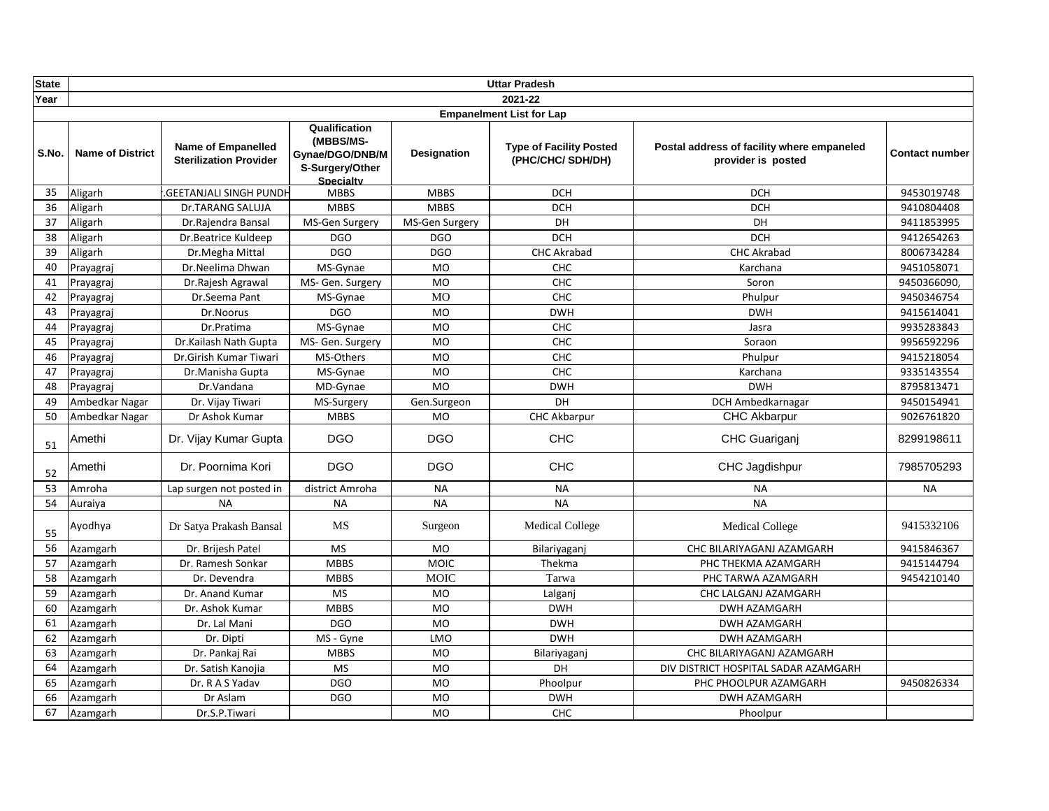| <b>State</b> |                         |                                                            |                                                                                      |                    | <b>Uttar Pradesh</b>                                |                                                                  |                       |
|--------------|-------------------------|------------------------------------------------------------|--------------------------------------------------------------------------------------|--------------------|-----------------------------------------------------|------------------------------------------------------------------|-----------------------|
| Year         |                         |                                                            |                                                                                      |                    | 2021-22                                             |                                                                  |                       |
|              |                         |                                                            |                                                                                      |                    | <b>Empanelment List for Lap</b>                     |                                                                  |                       |
| S.No.        | <b>Name of District</b> | <b>Name of Empanelled</b><br><b>Sterilization Provider</b> | Qualification<br>(MBBS/MS-<br>Gynae/DGO/DNB/M<br>S-Surgery/Other<br><b>Specialty</b> | <b>Designation</b> | <b>Type of Facility Posted</b><br>(PHC/CHC/ SDH/DH) | Postal address of facility where empaneled<br>provider is posted | <b>Contact number</b> |
| 35           | Aligarh                 | <b>GEETANJALI SINGH PUNDH</b>                              | <b>MBBS</b>                                                                          | <b>MBBS</b>        | <b>DCH</b>                                          | <b>DCH</b>                                                       | 9453019748            |
| 36           | Aligarh                 | Dr.TARANG SALUJA                                           | <b>MBBS</b>                                                                          | <b>MBBS</b>        | <b>DCH</b>                                          | <b>DCH</b>                                                       | 9410804408            |
| 37           | Aligarh                 | Dr.Rajendra Bansal                                         | MS-Gen Surgery                                                                       | MS-Gen Surgery     | DH                                                  | DH                                                               | 9411853995            |
| 38           | Aligarh                 | Dr.Beatrice Kuldeep                                        | <b>DGO</b>                                                                           | <b>DGO</b>         | <b>DCH</b>                                          | <b>DCH</b>                                                       | 9412654263            |
| 39           | Aligarh                 | Dr.Megha Mittal                                            | <b>DGO</b>                                                                           | <b>DGO</b>         | <b>CHC Akrabad</b>                                  | <b>CHC Akrabad</b>                                               | 8006734284            |
| 40           | Prayagraj               | Dr.Neelima Dhwan                                           | MS-Gynae                                                                             | <b>MO</b>          | CHC                                                 | Karchana                                                         | 9451058071            |
| 41           | Prayagraj               | Dr.Rajesh Agrawal                                          | MS- Gen. Surgery                                                                     | <b>MO</b>          | CHC                                                 | Soron                                                            | 9450366090,           |
| 42           | Prayagraj               | Dr.Seema Pant                                              | MS-Gynae                                                                             | <b>MO</b>          | <b>CHC</b>                                          | Phulpur                                                          | 9450346754            |
| 43           | Prayagraj               | Dr.Noorus                                                  | <b>DGO</b>                                                                           | <b>MO</b>          | <b>DWH</b>                                          | <b>DWH</b>                                                       | 9415614041            |
| 44           | Prayagraj               | Dr.Pratima                                                 | MS-Gynae                                                                             | <b>MO</b>          | <b>CHC</b>                                          | Jasra                                                            | 9935283843            |
| 45           | Prayagraj               | Dr.Kailash Nath Gupta                                      | MS- Gen. Surgery                                                                     | <b>MO</b>          | CHC                                                 | Soraon                                                           | 9956592296            |
| 46           | Prayagraj               | Dr.Girish Kumar Tiwari                                     | MS-Others                                                                            | <b>MO</b>          | CHC                                                 | Phulpur                                                          | 9415218054            |
| 47           | Prayagraj               | Dr.Manisha Gupta                                           | MS-Gynae                                                                             | <b>MO</b>          | CHC                                                 | Karchana                                                         | 9335143554            |
| 48           | Prayagraj               | Dr.Vandana                                                 | MD-Gynae                                                                             | <b>MO</b>          | <b>DWH</b>                                          | <b>DWH</b>                                                       | 8795813471            |
| 49           | Ambedkar Nagar          | Dr. Vijay Tiwari                                           | MS-Surgery                                                                           | Gen.Surgeon        | DH                                                  | DCH Ambedkarnagar                                                | 9450154941            |
| 50           | Ambedkar Nagar          | Dr Ashok Kumar                                             | <b>MBBS</b>                                                                          | <b>MO</b>          | <b>CHC Akbarpur</b>                                 | CHC Akbarpur                                                     | 9026761820            |
| 51           | Amethi                  | Dr. Vijay Kumar Gupta                                      | <b>DGO</b>                                                                           | <b>DGO</b>         | <b>CHC</b>                                          | CHC Guariganj                                                    | 8299198611            |
| 52           | Amethi                  | Dr. Poornima Kori                                          | <b>DGO</b>                                                                           | <b>DGO</b>         | <b>CHC</b>                                          | CHC Jagdishpur                                                   | 7985705293            |
| 53           | Amroha                  | Lap surgen not posted in                                   | district Amroha                                                                      | <b>NA</b>          | <b>NA</b>                                           | <b>NA</b>                                                        | <b>NA</b>             |
| 54           | Auraiya                 | <b>NA</b>                                                  | <b>NA</b>                                                                            | <b>NA</b>          | <b>NA</b>                                           | <b>NA</b>                                                        |                       |
| 55           | Ayodhya                 | Dr Satya Prakash Bansal                                    | MS                                                                                   | Surgeon            | <b>Medical College</b>                              | <b>Medical College</b>                                           | 9415332106            |
| 56           | Azamgarh                | Dr. Brijesh Patel                                          | <b>MS</b>                                                                            | <b>MO</b>          | Bilariyaganj                                        | CHC BILARIYAGANJ AZAMGARH                                        | 9415846367            |
| 57           | Azamgarh                | Dr. Ramesh Sonkar                                          | <b>MBBS</b>                                                                          | <b>MOIC</b>        | Thekma                                              | PHC THEKMA AZAMGARH                                              | 9415144794            |
| 58           | Azamgarh                | Dr. Devendra                                               | <b>MBBS</b>                                                                          | <b>MOIC</b>        | Tarwa                                               | PHC TARWA AZAMGARH                                               | 9454210140            |
| 59           | Azamgarh                | Dr. Anand Kumar                                            | <b>MS</b>                                                                            | <b>MO</b>          | Lalganj                                             | CHC LALGANJ AZAMGARH                                             |                       |
| 60           | Azamgarh                | Dr. Ashok Kumar                                            | <b>MBBS</b>                                                                          | <b>MO</b>          | <b>DWH</b>                                          | <b>DWH AZAMGARH</b>                                              |                       |
| 61           | Azamgarh                | Dr. Lal Mani                                               | <b>DGO</b>                                                                           | <b>MO</b>          | <b>DWH</b>                                          | <b>DWH AZAMGARH</b>                                              |                       |
| 62           | Azamgarh                | Dr. Dipti                                                  | MS - Gyne                                                                            | LMO                | <b>DWH</b>                                          | <b>DWH AZAMGARH</b>                                              |                       |
| 63           | Azamgarh                | Dr. Pankaj Rai                                             | <b>MBBS</b>                                                                          | <b>MO</b>          | Bilariyaganj                                        | CHC BILARIYAGANJ AZAMGARH                                        |                       |
| 64           | Azamgarh                | Dr. Satish Kanojia                                         | <b>MS</b>                                                                            | <b>MO</b>          | DH                                                  | DIV DISTRICT HOSPITAL SADAR AZAMGARH                             |                       |
| 65           | Azamgarh                | Dr. R A S Yadav                                            | DGO                                                                                  | <b>MO</b>          | Phoolpur                                            | PHC PHOOLPUR AZAMGARH                                            | 9450826334            |
| 66           | Azamgarh                | Dr Aslam                                                   | DGO                                                                                  | <b>MO</b>          | <b>DWH</b>                                          | <b>DWH AZAMGARH</b>                                              |                       |
| 67           | Azamgarh                | Dr.S.P.Tiwari                                              |                                                                                      | <b>MO</b>          | <b>CHC</b>                                          | Phoolpur                                                         |                       |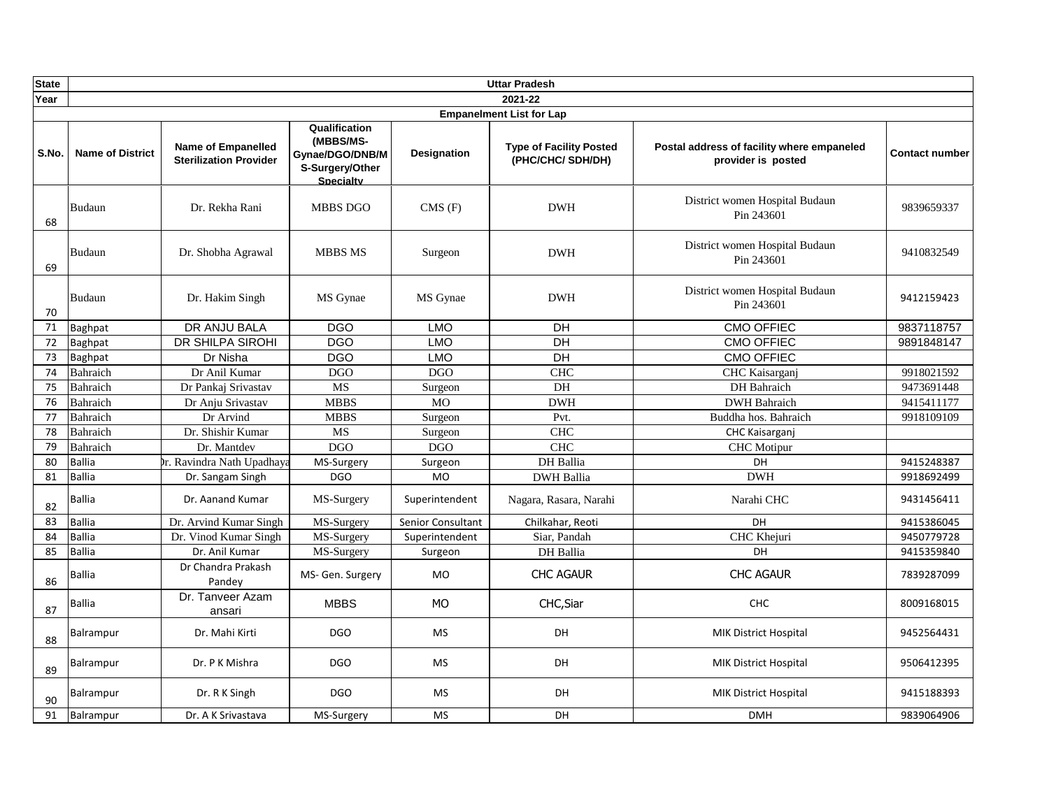| <b>State</b> |                         |                                                            |                                                                                      |                    | <b>Uttar Pradesh</b>                                |                                                                  |                       |
|--------------|-------------------------|------------------------------------------------------------|--------------------------------------------------------------------------------------|--------------------|-----------------------------------------------------|------------------------------------------------------------------|-----------------------|
| Year         |                         |                                                            |                                                                                      |                    | 2021-22                                             |                                                                  |                       |
|              |                         |                                                            |                                                                                      |                    | <b>Empanelment List for Lap</b>                     |                                                                  |                       |
| S.No.        | <b>Name of District</b> | <b>Name of Empanelled</b><br><b>Sterilization Provider</b> | Qualification<br>(MBBS/MS-<br>Gynae/DGO/DNB/M<br>S-Surgery/Other<br><b>Specialty</b> | <b>Designation</b> | <b>Type of Facility Posted</b><br>(PHC/CHC/ SDH/DH) | Postal address of facility where empaneled<br>provider is posted | <b>Contact number</b> |
| 68           | <b>Budaun</b>           | Dr. Rekha Rani                                             | <b>MBBS DGO</b>                                                                      | CMS(F)             | <b>DWH</b>                                          | District women Hospital Budaun<br>Pin 243601                     | 9839659337            |
| 69           | <b>Budaun</b>           | Dr. Shobha Agrawal                                         | <b>MBBS MS</b>                                                                       | Surgeon            | <b>DWH</b>                                          | District women Hospital Budaun<br>Pin 243601                     | 9410832549            |
| 70           | <b>Budaun</b>           | Dr. Hakim Singh                                            | MS Gynae                                                                             | MS Gynae           | <b>DWH</b>                                          | District women Hospital Budaun<br>Pin 243601                     | 9412159423            |
| 71           | <b>Baghpat</b>          | DR ANJU BALA                                               | <b>DGO</b>                                                                           | <b>LMO</b>         | DН                                                  | <b>CMO OFFIEC</b>                                                | 9837118757            |
| 72           | Baghpat                 | DR SHILPA SIROHI                                           | <b>DGO</b>                                                                           | <b>LMO</b>         | $\overline{D}$                                      | <b>CMO OFFIEC</b>                                                | 9891848147            |
| 73           | Baghpat                 | Dr Nisha                                                   | <b>DGO</b>                                                                           | <b>LMO</b>         | $\overline{D}$                                      | <b>CMO OFFIEC</b>                                                |                       |
| 74           | Bahraich                | Dr Anil Kumar                                              | <b>DGO</b>                                                                           | <b>DGO</b>         | <b>CHC</b>                                          | CHC Kaisarganj                                                   | 9918021592            |
| 75           | Bahraich                | Dr Pankaj Srivastav                                        | <b>MS</b>                                                                            | Surgeon            | DH                                                  | DH Bahraich                                                      | 9473691448            |
| 76           | Bahraich                | Dr Anju Srivastav                                          | <b>MBBS</b>                                                                          | $\overline{MO}$    | <b>DWH</b>                                          | <b>DWH</b> Bahraich                                              | 9415411177            |
| 77           | Bahraich                | Dr Arvind                                                  | <b>MBBS</b>                                                                          | Surgeon            | Pvt.                                                | Buddha hos. Bahraich                                             | 9918109109            |
| 78           | Bahraich                | Dr. Shishir Kumar                                          | <b>MS</b>                                                                            | Surgeon            | <b>CHC</b>                                          | CHC Kaisarganj                                                   |                       |
| 79           | Bahraich                | Dr. Mantdev                                                | DGO                                                                                  | <b>DGO</b>         | CHC                                                 | <b>CHC</b> Motipur                                               |                       |
| 80           | <b>Ballia</b>           | br. Ravindra Nath Upadhaya                                 | MS-Surgery                                                                           | Surgeon            | DH Ballia                                           | DH                                                               | 9415248387            |
| 81           | <b>Ballia</b>           | Dr. Sangam Singh                                           | <b>DGO</b>                                                                           | <b>MO</b>          | <b>DWH Ballia</b>                                   | <b>DWH</b>                                                       | 9918692499            |
| 82           | <b>Ballia</b>           | Dr. Aanand Kumar                                           | MS-Surgery                                                                           | Superintendent     | Nagara, Rasara, Narahi                              | Narahi CHC                                                       | 9431456411            |
| 83           | <b>Ballia</b>           | Dr. Arvind Kumar Singh                                     | MS-Surgery                                                                           | Senior Consultant  | Chilkahar, Reoti                                    | DH                                                               | 9415386045            |
| 84           | Ballia                  | Dr. Vinod Kumar Singh                                      | MS-Surgery                                                                           | Superintendent     | Siar, Pandah                                        | CHC Khejuri                                                      | 9450779728            |
| 85           | <b>Ballia</b>           | Dr. Anil Kumar                                             | MS-Surgery                                                                           | Surgeon            | DH Ballia                                           | DH                                                               | 9415359840            |
| 86           | <b>Ballia</b>           | Dr Chandra Prakash<br>Pandey                               | MS- Gen. Surgery                                                                     | <b>MO</b>          | <b>CHC AGAUR</b>                                    | <b>CHC AGAUR</b>                                                 | 7839287099            |
| 87           | <b>Ballia</b>           | Dr. Tanveer Azam<br>ansari                                 | <b>MBBS</b>                                                                          | <b>MO</b>          | CHC, Siar                                           | <b>CHC</b>                                                       | 8009168015            |
| 88           | Balrampur               | Dr. Mahi Kirti                                             | <b>DGO</b>                                                                           | MS                 | DH                                                  | <b>MIK District Hospital</b>                                     | 9452564431            |
| 89           | Balrampur               | Dr. P K Mishra                                             | <b>DGO</b>                                                                           | <b>MS</b>          | DH                                                  | <b>MIK District Hospital</b>                                     | 9506412395            |
| 90           | Balrampur               | Dr. R K Singh                                              | <b>DGO</b>                                                                           | <b>MS</b>          | <b>DH</b>                                           | <b>MIK District Hospital</b>                                     | 9415188393            |
| 91           | Balrampur               | Dr. A K Srivastava                                         | MS-Surgery                                                                           | <b>MS</b>          | <b>DH</b>                                           | <b>DMH</b>                                                       | 9839064906            |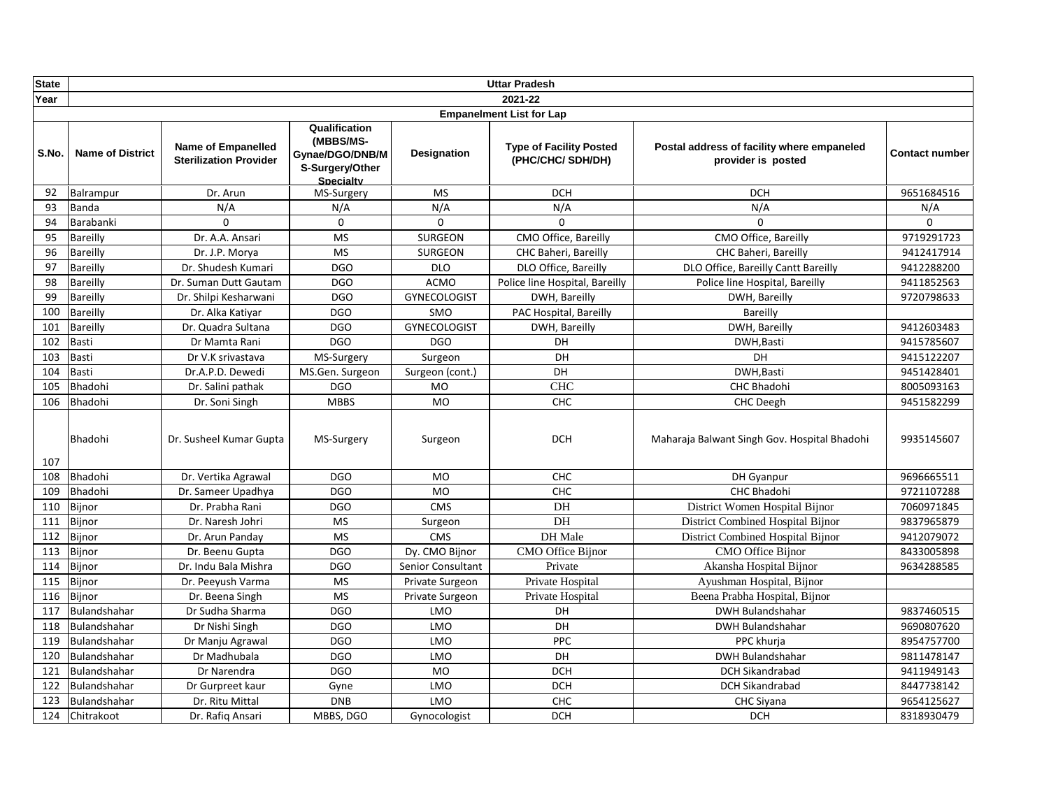| <b>State</b> |                         |                                                            |                                                                                      |                     | <b>Uttar Pradesh</b>                                |                                                                  |                       |
|--------------|-------------------------|------------------------------------------------------------|--------------------------------------------------------------------------------------|---------------------|-----------------------------------------------------|------------------------------------------------------------------|-----------------------|
| Year         |                         |                                                            |                                                                                      |                     | 2021-22                                             |                                                                  |                       |
|              |                         |                                                            |                                                                                      |                     | <b>Empanelment List for Lap</b>                     |                                                                  |                       |
| S.No.        | <b>Name of District</b> | <b>Name of Empanelled</b><br><b>Sterilization Provider</b> | Qualification<br>(MBBS/MS-<br>Gynae/DGO/DNB/M<br>S-Surgery/Other<br><b>Specialty</b> | Designation         | <b>Type of Facility Posted</b><br>(PHC/CHC/ SDH/DH) | Postal address of facility where empaneled<br>provider is posted | <b>Contact number</b> |
| 92           | Balrampur               | Dr. Arun                                                   | MS-Surgery                                                                           | <b>MS</b>           | <b>DCH</b>                                          | <b>DCH</b>                                                       | 9651684516            |
| 93           | Banda                   | N/A                                                        | N/A                                                                                  | N/A                 | N/A                                                 | N/A                                                              | N/A                   |
| 94           | Barabanki               | $\Omega$                                                   | $\mathbf 0$                                                                          | $\mathbf 0$         | $\Omega$                                            | $\Omega$                                                         | $\mathbf 0$           |
| 95           | Bareilly                | Dr. A.A. Ansari                                            | <b>MS</b>                                                                            | <b>SURGEON</b>      | CMO Office, Bareilly                                | CMO Office, Bareilly                                             | 9719291723            |
| 96           | Bareilly                | Dr. J.P. Morya                                             | <b>MS</b>                                                                            | <b>SURGEON</b>      | CHC Baheri, Bareilly                                | CHC Baheri, Bareilly                                             | 9412417914            |
| 97           | Bareilly                | Dr. Shudesh Kumari                                         | <b>DGO</b>                                                                           | <b>DLO</b>          | DLO Office, Bareilly                                | DLO Office, Bareilly Cantt Bareilly                              | 9412288200            |
| 98           | Bareilly                | Dr. Suman Dutt Gautam                                      | <b>DGO</b>                                                                           | <b>ACMO</b>         | Police line Hospital, Bareilly                      | Police line Hospital, Bareilly                                   | 9411852563            |
| 99           | Bareilly                | Dr. Shilpi Kesharwani                                      | <b>DGO</b>                                                                           | <b>GYNECOLOGIST</b> | DWH, Bareilly                                       | DWH, Bareilly                                                    | 9720798633            |
| 100          | Bareilly                | Dr. Alka Katiyar                                           | <b>DGO</b>                                                                           | SMO                 | PAC Hospital, Bareilly                              | Bareilly                                                         |                       |
| 101          | Bareilly                | Dr. Quadra Sultana                                         | <b>DGO</b>                                                                           | <b>GYNECOLOGIST</b> | DWH, Bareilly                                       | DWH, Bareilly                                                    | 9412603483            |
| 102          | Basti                   | Dr Mamta Rani                                              | <b>DGO</b>                                                                           | <b>DGO</b>          | DH                                                  | DWH, Basti                                                       | 9415785607            |
| 103          | Basti                   | Dr V.K srivastava                                          | MS-Surgery                                                                           | Surgeon             | DH                                                  | DH                                                               | 9415122207            |
| 104          | Basti                   | Dr.A.P.D. Dewedi                                           | MS.Gen. Surgeon                                                                      | Surgeon (cont.)     | DH                                                  | DWH.Basti                                                        | 9451428401            |
| 105          | Bhadohi                 | Dr. Salini pathak                                          | <b>DGO</b>                                                                           | <b>MO</b>           | <b>CHC</b>                                          | <b>CHC Bhadohi</b>                                               | 8005093163            |
| 106          | Bhadohi                 | Dr. Soni Singh                                             | <b>MBBS</b>                                                                          | <b>MO</b>           | CHC                                                 | <b>CHC</b> Deegh                                                 | 9451582299            |
| 107          | Bhadohi                 | Dr. Susheel Kumar Gupta                                    | MS-Surgery                                                                           | Surgeon             | <b>DCH</b>                                          | Maharaja Balwant Singh Gov. Hospital Bhadohi                     | 9935145607            |
| 108          | Bhadohi                 | Dr. Vertika Agrawal                                        | <b>DGO</b>                                                                           | <b>MO</b>           | <b>CHC</b>                                          | DH Gyanpur                                                       | 9696665511            |
| 109          | Bhadohi                 | Dr. Sameer Upadhya                                         | <b>DGO</b>                                                                           | <b>MO</b>           | <b>CHC</b>                                          | <b>CHC Bhadohi</b>                                               | 9721107288            |
| 110          | Bijnor                  | Dr. Prabha Rani                                            | <b>DGO</b>                                                                           | <b>CMS</b>          | DH                                                  | District Women Hospital Bijnor                                   | 7060971845            |
| 111          | Bijnor                  | Dr. Naresh Johri                                           | <b>MS</b>                                                                            | Surgeon             | DH                                                  | District Combined Hospital Bijnor                                | 9837965879            |
| 112          | Bijnor                  | Dr. Arun Panday                                            | MS                                                                                   | <b>CMS</b>          | DH Male                                             | District Combined Hospital Bijnor                                | 9412079072            |
| 113          | Bijnor                  | Dr. Beenu Gupta                                            | <b>DGO</b>                                                                           | Dy. CMO Bijnor      | CMO Office Bijnor                                   | <b>CMO Office Bijnor</b>                                         | 8433005898            |
| 114          | Bijnor                  | Dr. Indu Bala Mishra                                       | <b>DGO</b>                                                                           | Senior Consultant   | Private                                             | Akansha Hospital Bijnor                                          | 9634288585            |
| 115          | Bijnor                  | Dr. Peeyush Varma                                          | <b>MS</b>                                                                            | Private Surgeon     | Private Hospital                                    | Ayushman Hospital, Bijnor                                        |                       |
| 116          | Bijnor                  | Dr. Beena Singh                                            | <b>MS</b>                                                                            | Private Surgeon     | Private Hospital                                    | Beena Prabha Hospital, Bijnor                                    |                       |
| 117          | Bulandshahar            | Dr Sudha Sharma                                            | <b>DGO</b>                                                                           | LMO                 | DH                                                  | <b>DWH Bulandshahar</b>                                          | 9837460515            |
| 118          | Bulandshahar            | Dr Nishi Singh                                             | <b>DGO</b>                                                                           | LMO                 | DH                                                  | <b>DWH Bulandshahar</b>                                          | 9690807620            |
| 119          | Bulandshahar            | Dr Manju Agrawal                                           | <b>DGO</b>                                                                           | LMO                 | <b>PPC</b>                                          | PPC khurja                                                       | 8954757700            |
| 120          | Bulandshahar            | Dr Madhubala                                               | <b>DGO</b>                                                                           | LMO                 | <b>DH</b>                                           | <b>DWH Bulandshahar</b>                                          | 9811478147            |
| 121          | Bulandshahar            | Dr Narendra                                                | <b>DGO</b>                                                                           | <b>MO</b>           | <b>DCH</b>                                          | <b>DCH Sikandrabad</b>                                           | 9411949143            |
| 122          | Bulandshahar            | Dr Gurpreet kaur                                           | Gyne                                                                                 | LMO                 | <b>DCH</b>                                          | <b>DCH Sikandrabad</b>                                           | 8447738142            |
| 123          | Bulandshahar            | Dr. Ritu Mittal                                            | <b>DNB</b>                                                                           | LMO                 | CHC                                                 | CHC Siyana                                                       | 9654125627            |
| 124          | Chitrakoot              | Dr. Rafiq Ansari                                           | MBBS, DGO                                                                            | Gynocologist        | <b>DCH</b>                                          | <b>DCH</b>                                                       | 8318930479            |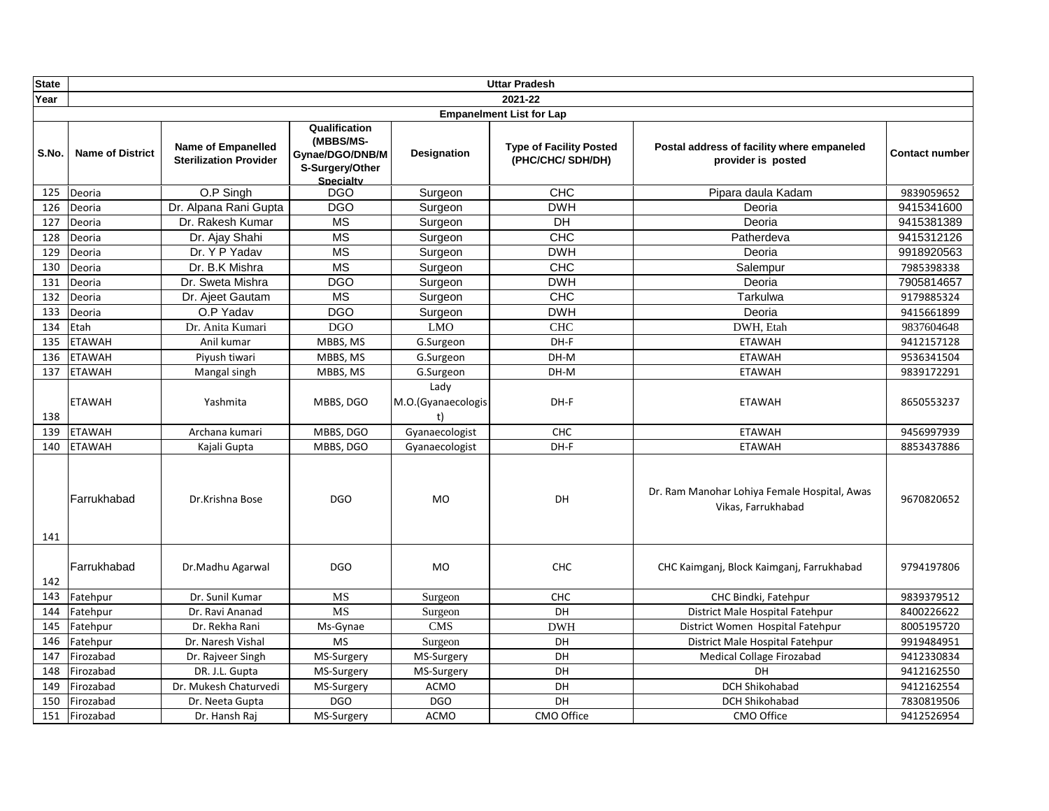| <b>State</b> |                         |                                                            |                                                                               |                                  | <b>Uttar Pradesh</b>                                |                                                                    |                       |
|--------------|-------------------------|------------------------------------------------------------|-------------------------------------------------------------------------------|----------------------------------|-----------------------------------------------------|--------------------------------------------------------------------|-----------------------|
| Year         |                         |                                                            |                                                                               |                                  | 2021-22                                             |                                                                    |                       |
|              |                         |                                                            |                                                                               |                                  | <b>Empanelment List for Lap</b>                     |                                                                    |                       |
| S.No.        | <b>Name of District</b> | <b>Name of Empanelled</b><br><b>Sterilization Provider</b> | Qualification<br>(MBBS/MS-<br>Gynae/DGO/DNB/M<br>S-Surgery/Other<br>Specialty | <b>Designation</b>               | <b>Type of Facility Posted</b><br>(PHC/CHC/ SDH/DH) | Postal address of facility where empaneled<br>provider is posted   | <b>Contact number</b> |
| 125          | Deoria                  | O.P Singh                                                  | <b>DGO</b>                                                                    | Surgeon                          | <b>CHC</b>                                          | Pipara daula Kadam                                                 | 9839059652            |
| 126          | Deoria                  | Dr. Alpana Rani Gupta                                      | <b>DGO</b>                                                                    | Surgeon                          | <b>DWH</b>                                          | Deoria                                                             | 9415341600            |
| 127          | Deoria                  | Dr. Rakesh Kumar                                           | <b>MS</b>                                                                     | Surgeon                          | DH                                                  | Deoria                                                             | 9415381389            |
| 128          | Deoria                  | Dr. Ajay Shahi                                             | <b>MS</b>                                                                     | Surgeon                          | CHC                                                 | Patherdeva                                                         | 9415312126            |
| 129          | Deoria                  | Dr. Y P Yadav                                              | <b>MS</b>                                                                     | Surgeon                          | <b>DWH</b>                                          | Deoria                                                             | 9918920563            |
| 130          | Deoria                  | Dr. B.K Mishra                                             | <b>MS</b>                                                                     | Surgeon                          | <b>CHC</b>                                          | Salempur                                                           | 7985398338            |
| 131          | Deoria                  | Dr. Sweta Mishra                                           | <b>DGO</b>                                                                    | Surgeon                          | <b>DWH</b>                                          | Deoria                                                             | 7905814657            |
| 132          | Deoria                  | Dr. Ajeet Gautam                                           | <b>MS</b>                                                                     | Surgeon                          | CHC                                                 | Tarkulwa                                                           | 9179885324            |
| 133          | Deoria                  | O.P Yadav                                                  | <b>DGO</b>                                                                    | Surgeon                          | <b>DWH</b>                                          | Deoria                                                             | 9415661899            |
| 134          | Etah                    | Dr. Anita Kumari                                           | <b>DGO</b>                                                                    | <b>LMO</b>                       | <b>CHC</b>                                          | DWH, Etah                                                          | 9837604648            |
| 135          | <b>ETAWAH</b>           | Anil kumar                                                 | MBBS, MS                                                                      | G.Surgeon                        | DH-F                                                | <b>ETAWAH</b>                                                      | 9412157128            |
| 136          | <b>ETAWAH</b>           | Piyush tiwari                                              | MBBS, MS                                                                      | G.Surgeon                        | DH-M                                                | <b>ETAWAH</b>                                                      | 9536341504            |
| 137          | <b>ETAWAH</b>           | Mangal singh                                               | MBBS, MS                                                                      | G.Surgeon                        | DH-M                                                | <b>ETAWAH</b>                                                      | 9839172291            |
| 138          | <b>ETAWAH</b>           | Yashmita                                                   | MBBS, DGO                                                                     | Lady<br>M.O.(Gyanaecologis<br>t) | DH-F                                                | <b>ETAWAH</b>                                                      | 8650553237            |
| 139          | <b>ETAWAH</b>           | Archana kumari                                             | MBBS, DGO                                                                     | Gyanaecologist                   | <b>CHC</b>                                          | <b>ETAWAH</b>                                                      | 9456997939            |
| 140          | <b>ETAWAH</b>           | Kajali Gupta                                               | MBBS, DGO                                                                     | Gyanaecologist                   | DH-F                                                | <b>ETAWAH</b>                                                      | 8853437886            |
| 141          | Farrukhabad             | Dr.Krishna Bose                                            | <b>DGO</b>                                                                    | <b>MO</b>                        | <b>DH</b>                                           | Dr. Ram Manohar Lohiya Female Hospital, Awas<br>Vikas, Farrukhabad | 9670820652            |
| 142          | Farrukhabad             | Dr.Madhu Agarwal                                           | <b>DGO</b>                                                                    | <b>MO</b>                        | <b>CHC</b>                                          | CHC Kaimganj, Block Kaimganj, Farrukhabad                          | 9794197806            |
| 143          | Fatehpur                | Dr. Sunil Kumar                                            | <b>MS</b>                                                                     | Surgeon                          | <b>CHC</b>                                          | CHC Bindki, Fatehpur                                               | 9839379512            |
| 144          | Fatehpur                | Dr. Ravi Ananad                                            | MS                                                                            | Surgeon                          | DH                                                  | District Male Hospital Fatehpur                                    | 8400226622            |
| 145          | Fatehpur                | Dr. Rekha Rani                                             | Ms-Gynae                                                                      | <b>CMS</b>                       | <b>DWH</b>                                          | District Women Hospital Fatehpur                                   | 8005195720            |
| 146          | Fatehpur                | Dr. Naresh Vishal                                          | <b>MS</b>                                                                     | Surgeon                          | DH                                                  | District Male Hospital Fatehpur                                    | 9919484951            |
| 147          | Firozabad               | Dr. Rajveer Singh                                          | MS-Surgery                                                                    | MS-Surgery                       | DH                                                  | Medical Collage Firozabad                                          | 9412330834            |
| 148          | Firozabad               | DR. J.L. Gupta                                             | MS-Surgery                                                                    | MS-Surgery                       | DH                                                  | DH                                                                 | 9412162550            |
| 149          | Firozabad               | Dr. Mukesh Chaturvedi                                      | MS-Surgery                                                                    | <b>ACMO</b>                      | DH                                                  | <b>DCH Shikohabad</b>                                              | 9412162554            |
| 150          | Firozabad               | Dr. Neeta Gupta                                            | <b>DGO</b>                                                                    | <b>DGO</b>                       | DH                                                  | DCH Shikohabad                                                     | 7830819506            |
| 151          | Firozabad               | Dr. Hansh Raj                                              | MS-Surgery                                                                    | <b>ACMO</b>                      | CMO Office                                          | CMO Office                                                         | 9412526954            |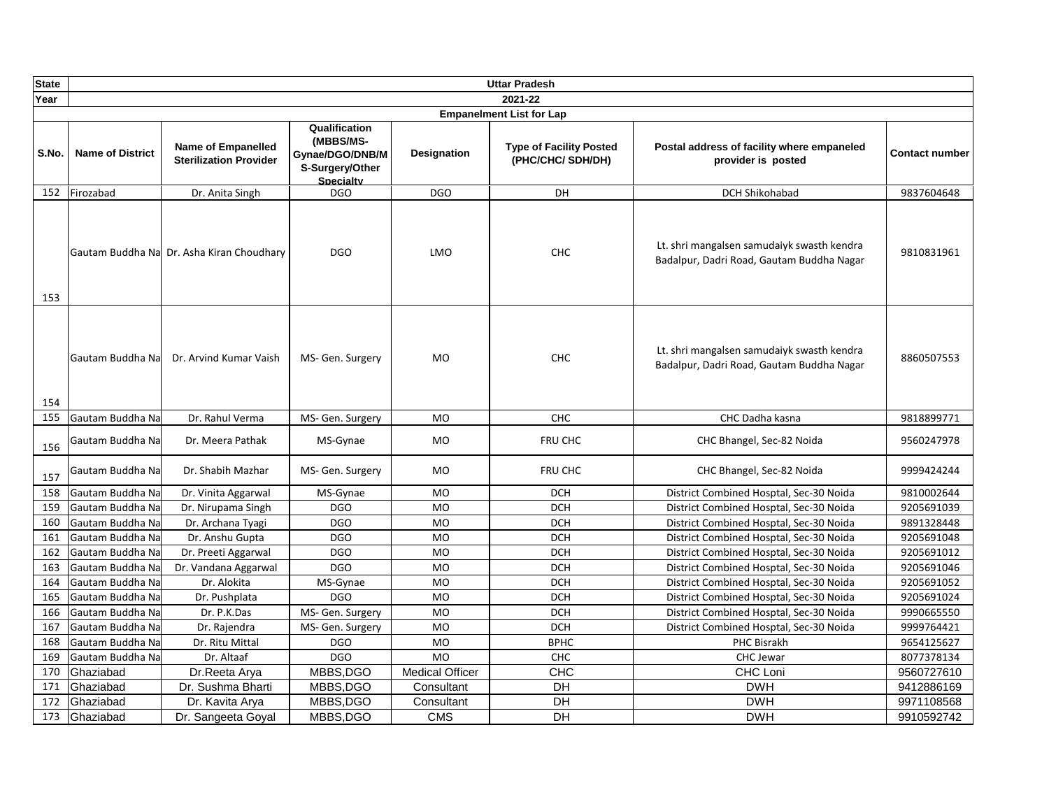| <b>State</b> |                         |                                                            |                                                                               |                        | <b>Uttar Pradesh</b>                                |                                                                                         |                |
|--------------|-------------------------|------------------------------------------------------------|-------------------------------------------------------------------------------|------------------------|-----------------------------------------------------|-----------------------------------------------------------------------------------------|----------------|
| Year         |                         |                                                            |                                                                               |                        | 2021-22                                             |                                                                                         |                |
|              |                         |                                                            |                                                                               |                        | <b>Empanelment List for Lap</b>                     |                                                                                         |                |
| S.No.        | <b>Name of District</b> | <b>Name of Empanelled</b><br><b>Sterilization Provider</b> | Qualification<br>(MBBS/MS-<br>Gynae/DGO/DNB/M<br>S-Surgery/Other<br>Specialty | <b>Designation</b>     | <b>Type of Facility Posted</b><br>(PHC/CHC/ SDH/DH) | Postal address of facility where empaneled<br>provider is posted                        | Contact number |
| 152          | Firozabad               | Dr. Anita Singh                                            | <b>DGO</b>                                                                    | <b>DGO</b>             | DH                                                  | DCH Shikohabad                                                                          | 9837604648     |
| 153          |                         | Gautam Buddha Na Dr. Asha Kiran Choudhary                  | <b>DGO</b>                                                                    | LMO                    | <b>CHC</b>                                          | Lt. shri mangalsen samudaiyk swasth kendra<br>Badalpur, Dadri Road, Gautam Buddha Nagar | 9810831961     |
| 154          | Gautam Buddha Na        | Dr. Arvind Kumar Vaish                                     | MS- Gen. Surgery                                                              | <b>MO</b>              | <b>CHC</b>                                          | Lt. shri mangalsen samudaiyk swasth kendra<br>Badalpur, Dadri Road, Gautam Buddha Nagar | 8860507553     |
| 155          | Gautam Buddha Na        | Dr. Rahul Verma                                            | MS- Gen. Surgery                                                              | MO                     | <b>CHC</b>                                          | CHC Dadha kasna                                                                         | 9818899771     |
| 156          | Gautam Buddha Na        | Dr. Meera Pathak                                           | MS-Gynae                                                                      | <b>MO</b>              | FRU CHC                                             | CHC Bhangel, Sec-82 Noida                                                               | 9560247978     |
| 157          | Gautam Buddha Na        | Dr. Shabih Mazhar                                          | MS- Gen. Surgery                                                              | <b>MO</b>              | FRU CHC                                             | CHC Bhangel, Sec-82 Noida                                                               | 9999424244     |
| 158          | Gautam Buddha Na        | Dr. Vinita Aggarwal                                        | MS-Gynae                                                                      | <b>MO</b>              | <b>DCH</b>                                          | District Combined Hosptal, Sec-30 Noida                                                 | 9810002644     |
| 159          | Gautam Buddha Na        | Dr. Nirupama Singh                                         | <b>DGO</b>                                                                    | <b>MO</b>              | <b>DCH</b>                                          | District Combined Hosptal, Sec-30 Noida                                                 | 9205691039     |
| 160          | Gautam Buddha Na        | Dr. Archana Tyagi                                          | <b>DGO</b>                                                                    | MO                     | <b>DCH</b>                                          | District Combined Hosptal, Sec-30 Noida                                                 | 9891328448     |
| 161          | Gautam Buddha Na        | Dr. Anshu Gupta                                            | <b>DGO</b>                                                                    | MO                     | <b>DCH</b>                                          | District Combined Hosptal, Sec-30 Noida                                                 | 9205691048     |
| 162          | Gautam Buddha Na        | Dr. Preeti Aggarwal                                        | <b>DGO</b>                                                                    | <b>MO</b>              | <b>DCH</b>                                          | District Combined Hosptal, Sec-30 Noida                                                 | 9205691012     |
| 163          | Gautam Buddha Na        | Dr. Vandana Aggarwal                                       | <b>DGO</b>                                                                    | <b>MO</b>              | <b>DCH</b>                                          | District Combined Hosptal, Sec-30 Noida                                                 | 9205691046     |
| 164          | Gautam Buddha Na        | Dr. Alokita                                                | MS-Gynae                                                                      | <b>MO</b>              | <b>DCH</b>                                          | District Combined Hosptal, Sec-30 Noida                                                 | 9205691052     |
| 165          | Gautam Buddha Na        | Dr. Pushplata                                              | <b>DGO</b>                                                                    | <b>MO</b>              | <b>DCH</b>                                          | District Combined Hosptal, Sec-30 Noida                                                 | 9205691024     |
| 166          | Gautam Buddha Na        | Dr. P.K.Das                                                | MS- Gen. Surgery                                                              | <b>MO</b>              | <b>DCH</b>                                          | District Combined Hosptal, Sec-30 Noida                                                 | 9990665550     |
| 167          | Gautam Buddha Na        | Dr. Rajendra                                               | MS- Gen. Surgery                                                              | <b>MO</b>              | <b>DCH</b>                                          | District Combined Hosptal, Sec-30 Noida                                                 | 9999764421     |
| 168          | Gautam Buddha Na        | Dr. Ritu Mittal                                            | <b>DGO</b>                                                                    | MO                     | <b>BPHC</b>                                         | PHC Bisrakh                                                                             | 9654125627     |
| 169          | Gautam Buddha Na        | Dr. Altaaf                                                 | <b>DGO</b>                                                                    | <b>MO</b>              | CHC                                                 | CHC Jewar                                                                               | 8077378134     |
| 170          | Ghaziabad               | Dr.Reeta Arya                                              | MBBS, DGO                                                                     | <b>Medical Officer</b> | CHC                                                 | CHC Loni                                                                                | 9560727610     |
| 171          | Ghaziabad               | Dr. Sushma Bharti                                          | MBBS, DGO                                                                     | Consultant             | DH                                                  | <b>DWH</b>                                                                              | 9412886169     |
| 172          | Ghaziabad               | Dr. Kavita Arya                                            | MBBS, DGO                                                                     | Consultant             | DH                                                  | <b>DWH</b>                                                                              | 9971108568     |
| 173          | Ghaziabad               | Dr. Sangeeta Goyal                                         | MBBS, DGO                                                                     | <b>CMS</b>             | DH                                                  | <b>DWH</b>                                                                              | 9910592742     |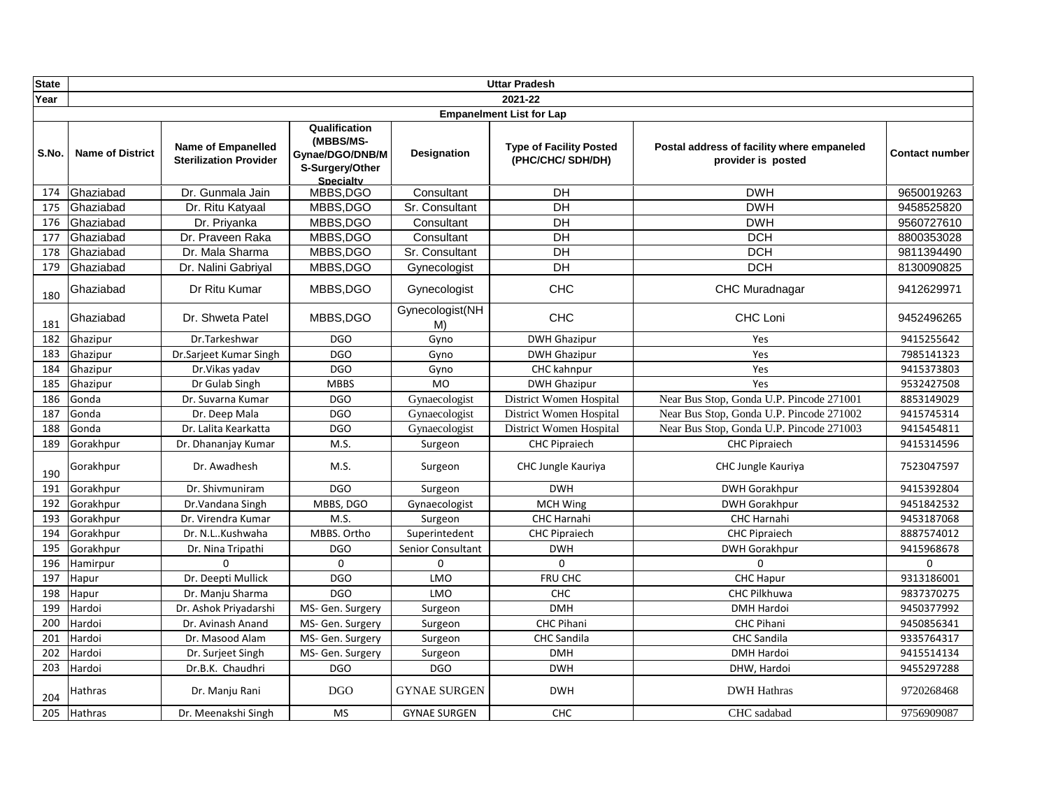| <b>State</b> |                         |                                                            |                                                                               |                       | <b>Uttar Pradesh</b>                                |                                                                  |                       |
|--------------|-------------------------|------------------------------------------------------------|-------------------------------------------------------------------------------|-----------------------|-----------------------------------------------------|------------------------------------------------------------------|-----------------------|
| Year         |                         |                                                            |                                                                               |                       | 2021-22                                             |                                                                  |                       |
|              |                         |                                                            |                                                                               |                       | <b>Empanelment List for Lap</b>                     |                                                                  |                       |
| S.No.        | <b>Name of District</b> | <b>Name of Empanelled</b><br><b>Sterilization Provider</b> | Qualification<br>(MBBS/MS-<br>Gynae/DGO/DNB/M<br>S-Surgery/Other<br>Specialty | <b>Designation</b>    | <b>Type of Facility Posted</b><br>(PHC/CHC/ SDH/DH) | Postal address of facility where empaneled<br>provider is posted | <b>Contact number</b> |
| 174          | Ghaziabad               | Dr. Gunmala Jain                                           | MBBS, DGO                                                                     | Consultant            | DH                                                  | <b>DWH</b>                                                       | 9650019263            |
| 175          | Ghaziabad               | Dr. Ritu Katyaal                                           | MBBS, DGO                                                                     | Sr. Consultant        | $\overline{D}$                                      | <b>DWH</b>                                                       | 9458525820            |
| 176          | <b>IGhaziabad</b>       | Dr. Priyanka                                               | MBBS, DGO                                                                     | Consultant            | $\overline{D}$                                      | <b>DWH</b>                                                       | 9560727610            |
| 177          | Ghaziabad               | Dr. Praveen Raka                                           | MBBS, DGO                                                                     | Consultant            | DH                                                  | <b>DCH</b>                                                       | 8800353028            |
| 178          | Ghaziabad               | Dr. Mala Sharma                                            | MBBS, DGO                                                                     | Sr. Consultant        | DH                                                  | <b>DCH</b>                                                       | 9811394490            |
| 179          | Ghaziabad               | Dr. Nalini Gabriyal                                        | MBBS, DGO                                                                     | Gynecologist          | DH                                                  | <b>DCH</b>                                                       | 8130090825            |
| 180          | Ghaziabad               | Dr Ritu Kumar                                              | MBBS, DGO                                                                     | Gynecologist          | <b>CHC</b>                                          | <b>CHC Muradnagar</b>                                            | 9412629971            |
| 181          | Ghaziabad               | Dr. Shweta Patel                                           | MBBS, DGO                                                                     | Gynecologist(NH<br>M) | <b>CHC</b>                                          | CHC Loni                                                         | 9452496265            |
| 182          | Ghazipur                | Dr.Tarkeshwar                                              | <b>DGO</b>                                                                    | Gyno                  | <b>DWH Ghazipur</b>                                 | Yes                                                              | 9415255642            |
| 183          | Ghazipur                | Dr.Sarjeet Kumar Singh                                     | <b>DGO</b>                                                                    | Gyno                  | <b>DWH Ghazipur</b>                                 | Yes                                                              | 7985141323            |
| 184          | Ghazipur                | Dr. Vikas yadav                                            | <b>DGO</b>                                                                    | Gyno                  | CHC kahnpur                                         | Yes                                                              | 9415373803            |
| 185          | Ghazipur                | Dr Gulab Singh                                             | <b>MBBS</b>                                                                   | $\overline{M}$        | <b>DWH Ghazipur</b>                                 | Yes                                                              | 9532427508            |
| 186          | Gonda                   | Dr. Suvarna Kumar                                          | <b>DGO</b>                                                                    | Gynaecologist         | District Women Hospital                             | Near Bus Stop, Gonda U.P. Pincode 271001                         | 8853149029            |
| 187          | Gonda                   | Dr. Deep Mala                                              | <b>DGO</b>                                                                    | Gynaecologist         | District Women Hospital                             | Near Bus Stop, Gonda U.P. Pincode 271002                         | 9415745314            |
| 188          | Gonda                   | Dr. Lalita Kearkatta                                       | <b>DGO</b>                                                                    | Gynaecologist         | District Women Hospital                             | Near Bus Stop, Gonda U.P. Pincode 271003                         | 9415454811            |
| 189          | Gorakhpur               | Dr. Dhananjay Kumar                                        | M.S.                                                                          | Surgeon               | <b>CHC Pipraiech</b>                                | <b>CHC Pipraiech</b>                                             | 9415314596            |
| 190          | Gorakhpur               | Dr. Awadhesh                                               | M.S.                                                                          | Surgeon               | CHC Jungle Kauriya                                  | CHC Jungle Kauriya                                               | 7523047597            |
| 191          | Gorakhpur               | Dr. Shivmuniram                                            | <b>DGO</b>                                                                    | Surgeon               | <b>DWH</b>                                          | <b>DWH Gorakhpur</b>                                             | 9415392804            |
| 192          | Gorakhpur               | Dr. Vandana Singh                                          | MBBS, DGO                                                                     | Gynaecologist         | <b>MCH Wing</b>                                     | <b>DWH Gorakhpur</b>                                             | 9451842532            |
| 193          | Gorakhpur               | Dr. Virendra Kumar                                         | M.S.                                                                          | Surgeon               | <b>CHC Harnahi</b>                                  | <b>CHC Harnahi</b>                                               | 9453187068            |
| 194          | Gorakhpur               | Dr. N.LKushwaha                                            | MBBS. Ortho                                                                   | Superintedent         | <b>CHC Pipraiech</b>                                | <b>CHC Pipraiech</b>                                             | 8887574012            |
| 195          | Gorakhpur               | Dr. Nina Tripathi                                          | <b>DGO</b>                                                                    | Senior Consultant     | <b>DWH</b>                                          | <b>DWH Gorakhpur</b>                                             | 9415968678            |
| 196          | Hamirpur                | $\Omega$                                                   | $\Omega$                                                                      | $\Omega$              | $\Omega$                                            | $\Omega$                                                         | $\Omega$              |
| 197          | Hapur                   | Dr. Deepti Mullick                                         | <b>DGO</b>                                                                    | LMO                   | FRU CHC                                             | <b>CHC Hapur</b>                                                 | 9313186001            |
| 198          | Hapur                   | Dr. Manju Sharma                                           | <b>DGO</b>                                                                    | LMO                   | <b>CHC</b>                                          | CHC Pilkhuwa                                                     | 9837370275            |
| 199          | Hardoi                  | Dr. Ashok Privadarshi                                      | MS- Gen. Surgery                                                              | Surgeon               | <b>DMH</b>                                          | <b>DMH Hardoi</b>                                                | 9450377992            |
| 200          | Hardoi                  | Dr. Avinash Anand                                          | MS- Gen. Surgery                                                              | Surgeon               | <b>CHC Pihani</b>                                   | <b>CHC Pihani</b>                                                | 9450856341            |
| 201          | Hardoi                  | Dr. Masood Alam                                            | MS- Gen. Surgery                                                              | Surgeon               | <b>CHC Sandila</b>                                  | <b>CHC Sandila</b>                                               | 9335764317            |
| 202          | Hardoi                  | Dr. Surjeet Singh                                          | MS- Gen. Surgery                                                              | Surgeon               | <b>DMH</b>                                          | DMH Hardoi                                                       | 9415514134            |
| 203          | Hardoi                  | Dr.B.K. Chaudhri                                           | <b>DGO</b>                                                                    | <b>DGO</b>            | <b>DWH</b>                                          | DHW, Hardoi                                                      | 9455297288            |
| 204          | Hathras                 | Dr. Manju Rani                                             | DGO                                                                           | <b>GYNAE SURGEN</b>   | <b>DWH</b>                                          | <b>DWH Hathras</b>                                               | 9720268468            |
| 205          | Hathras                 | Dr. Meenakshi Singh                                        | <b>MS</b>                                                                     | <b>GYNAE SURGEN</b>   | CHC                                                 | CHC sadabad                                                      | 9756909087            |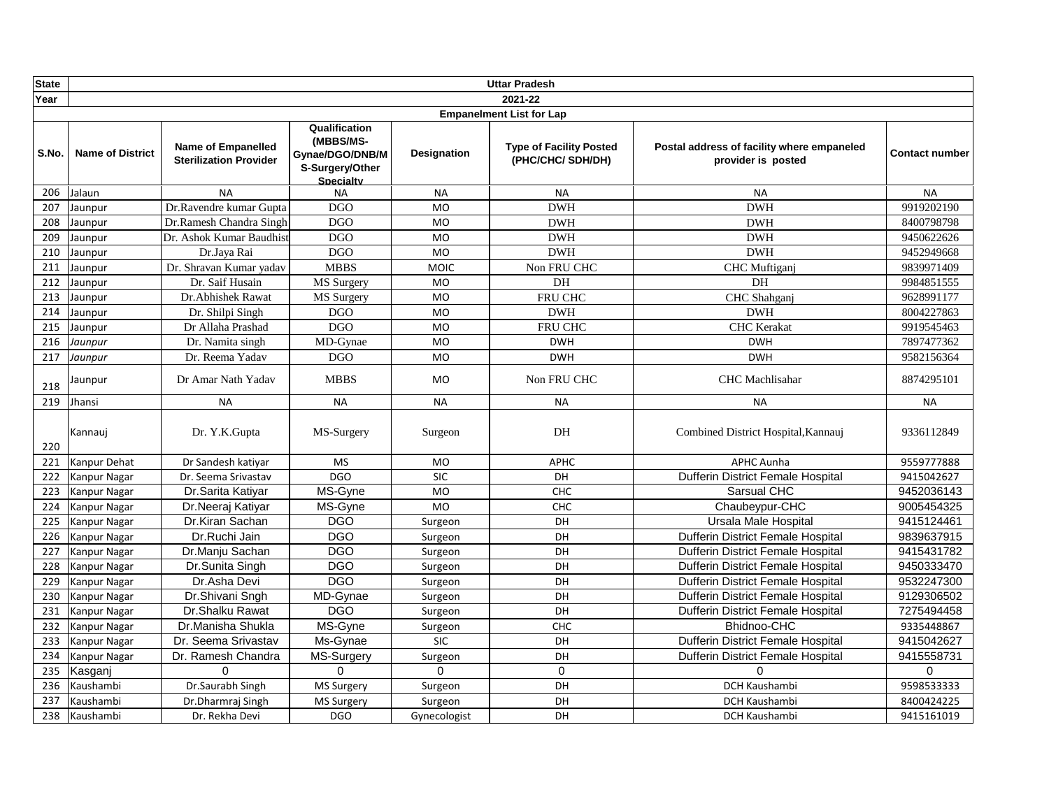| <b>State</b> |                         |                                                            |                                                                                      |              | <b>Uttar Pradesh</b>                                |                                                                  |                       |
|--------------|-------------------------|------------------------------------------------------------|--------------------------------------------------------------------------------------|--------------|-----------------------------------------------------|------------------------------------------------------------------|-----------------------|
| Year         |                         |                                                            |                                                                                      |              | 2021-22                                             |                                                                  |                       |
|              |                         |                                                            |                                                                                      |              | <b>Empanelment List for Lap</b>                     |                                                                  |                       |
| S.No.        | <b>Name of District</b> | <b>Name of Empanelled</b><br><b>Sterilization Provider</b> | Qualification<br>(MBBS/MS-<br>Gynae/DGO/DNB/M<br>S-Surgery/Other<br><b>Specialty</b> | Designation  | <b>Type of Facility Posted</b><br>(PHC/CHC/ SDH/DH) | Postal address of facility where empaneled<br>provider is posted | <b>Contact number</b> |
| 206          | Jalaun                  | <b>NA</b>                                                  | <b>NA</b>                                                                            | <b>NA</b>    | <b>NA</b>                                           | <b>NA</b>                                                        | <b>NA</b>             |
| 207          | Jaunpur                 | Dr.Ravendre kumar Gupta                                    | DGO                                                                                  | <b>MO</b>    | <b>DWH</b>                                          | <b>DWH</b>                                                       | 9919202190            |
| 208          | Jaunpur                 | Dr.Ramesh Chandra Singh                                    | <b>DGO</b>                                                                           | <b>MO</b>    | <b>DWH</b>                                          | <b>DWH</b>                                                       | 8400798798            |
| 209          | Jaunpur                 | Dr. Ashok Kumar Baudhist                                   | <b>DGO</b>                                                                           | <b>MO</b>    | <b>DWH</b>                                          | <b>DWH</b>                                                       | 9450622626            |
| 210          | Jaunpur                 | Dr.Java Rai                                                | <b>DGO</b>                                                                           | <b>MO</b>    | <b>DWH</b>                                          | <b>DWH</b>                                                       | 9452949668            |
| 211          | Jaunpur                 | Dr. Shravan Kumar yadav                                    | <b>MBBS</b>                                                                          | <b>MOIC</b>  | Non FRU CHC                                         | <b>CHC</b> Muftigani                                             | 9839971409            |
| 212          | Jaunpur                 | Dr. Saif Husain                                            | MS Surgery                                                                           | <b>MO</b>    | DH                                                  | DH                                                               | 9984851555            |
| 213          | Jaunpur                 | Dr.Abhishek Rawat                                          | MS Surgery                                                                           | <b>MO</b>    | FRU CHC                                             | CHC Shahganj                                                     | 9628991177            |
| 214          | Jaunpur                 | Dr. Shilpi Singh                                           | DGO                                                                                  | <b>MO</b>    | <b>DWH</b>                                          | <b>DWH</b>                                                       | 8004227863            |
| 215          | Jaunpur                 | Dr Allaha Prashad                                          | <b>DGO</b>                                                                           | <b>MO</b>    | FRU CHC                                             | <b>CHC</b> Kerakat                                               | 9919545463            |
| 216          | Jaunpur                 | Dr. Namita singh                                           | MD-Gynae                                                                             | <b>MO</b>    | <b>DWH</b>                                          | <b>DWH</b>                                                       | 7897477362            |
| 217          | Jaunpur                 | Dr. Reema Yadav                                            | DGO                                                                                  | <b>MO</b>    | <b>DWH</b>                                          | <b>DWH</b>                                                       | 9582156364            |
| 218          | Jaunpur                 | Dr Amar Nath Yadav                                         | <b>MBBS</b>                                                                          | <b>MO</b>    | Non FRU CHC                                         | <b>CHC</b> Machlisahar                                           | 8874295101            |
| 219          | Jhansi                  | <b>NA</b>                                                  | <b>NA</b>                                                                            | <b>NA</b>    | <b>NA</b>                                           | <b>NA</b>                                                        | <b>NA</b>             |
| 220          | Kannauj                 | Dr. Y.K.Gupta                                              | MS-Surgery                                                                           | Surgeon      | DH                                                  | Combined District Hospital, Kannauj                              | 9336112849            |
| 221          | Kanpur Dehat            | Dr Sandesh katiyar                                         | <b>MS</b>                                                                            | <b>MO</b>    | <b>APHC</b>                                         | <b>APHC Aunha</b>                                                | 9559777888            |
| 222          | Kanpur Nagar            | Dr. Seema Srivastav                                        | <b>DGO</b>                                                                           | <b>SIC</b>   | DH                                                  | Dufferin District Female Hospital                                | 9415042627            |
| 223          | Kanpur Nagar            | Dr.Sarita Katiyar                                          | MS-Gyne                                                                              | <b>MO</b>    | <b>CHC</b>                                          | Sarsual CHC                                                      | 9452036143            |
| 224          | Kanpur Nagar            | Dr.Neeraj Katiyar                                          | MS-Gyne                                                                              | <b>MO</b>    | <b>CHC</b>                                          | Chaubeypur-CHC                                                   | 9005454325            |
| 225          | Kanpur Nagar            | Dr.Kiran Sachan                                            | <b>DGO</b>                                                                           | Surgeon      | DH                                                  | Ursala Male Hospital                                             | 9415124461            |
| 226          | Kanpur Nagar            | Dr.Ruchi Jain                                              | <b>DGO</b>                                                                           | Surgeon      | DH                                                  | <b>Dufferin District Female Hospital</b>                         | 9839637915            |
| 227          | Kanpur Nagar            | Dr.Manju Sachan                                            | <b>DGO</b>                                                                           | Surgeon      | DH                                                  | <b>Dufferin District Female Hospital</b>                         | 9415431782            |
| 228          | Kanpur Nagar            | Dr.Sunita Singh                                            | <b>DGO</b>                                                                           | Surgeon      | DH                                                  | Dufferin District Female Hospital                                | 9450333470            |
| 229          | Kanpur Nagar            | Dr.Asha Devi                                               | <b>DGO</b>                                                                           | Surgeon      | DH                                                  | <b>Dufferin District Female Hospital</b>                         | 9532247300            |
| 230          | Kanpur Nagar            | Dr.Shivani Sngh                                            | MD-Gynae                                                                             | Surgeon      | DH                                                  | Dufferin District Female Hospital                                | 9129306502            |
| 231          | Kanpur Nagar            | Dr.Shalku Rawat                                            | <b>DGO</b>                                                                           | Surgeon      | DH                                                  | <b>Dufferin District Female Hospital</b>                         | 7275494458            |
| 232          | Kanpur Nagar            | Dr.Manisha Shukla                                          | MS-Gyne                                                                              | Surgeon      | <b>CHC</b>                                          | Bhidnoo-CHC                                                      | 9335448867            |
| 233          | Kanpur Nagar            | Dr. Seema Srivastav                                        | Ms-Gynae                                                                             | <b>SIC</b>   | DH                                                  | Dufferin District Female Hospital                                | 9415042627            |
| 234          | Kanpur Nagar            | Dr. Ramesh Chandra                                         | MS-Surgery                                                                           | Surgeon      | DH                                                  | Dufferin District Female Hospital                                | 9415558731            |
| 235          | Kasganj                 | $\Omega$                                                   | $\Omega$                                                                             | $\Omega$     | $\mathbf 0$                                         | $\Omega$                                                         | $\Omega$              |
| 236          | Kaushambi               | Dr.Saurabh Singh                                           | <b>MS Surgery</b>                                                                    | Surgeon      | DH                                                  | <b>DCH Kaushambi</b>                                             | 9598533333            |
| 237          | Kaushambi               | Dr.Dharmraj Singh                                          | MS Surgery                                                                           | Surgeon      | DH                                                  | <b>DCH Kaushambi</b>                                             | 8400424225            |
| 238          | Kaushambi               | Dr. Rekha Devi                                             | <b>DGO</b>                                                                           | Gynecologist | DH                                                  | DCH Kaushambi                                                    | 9415161019            |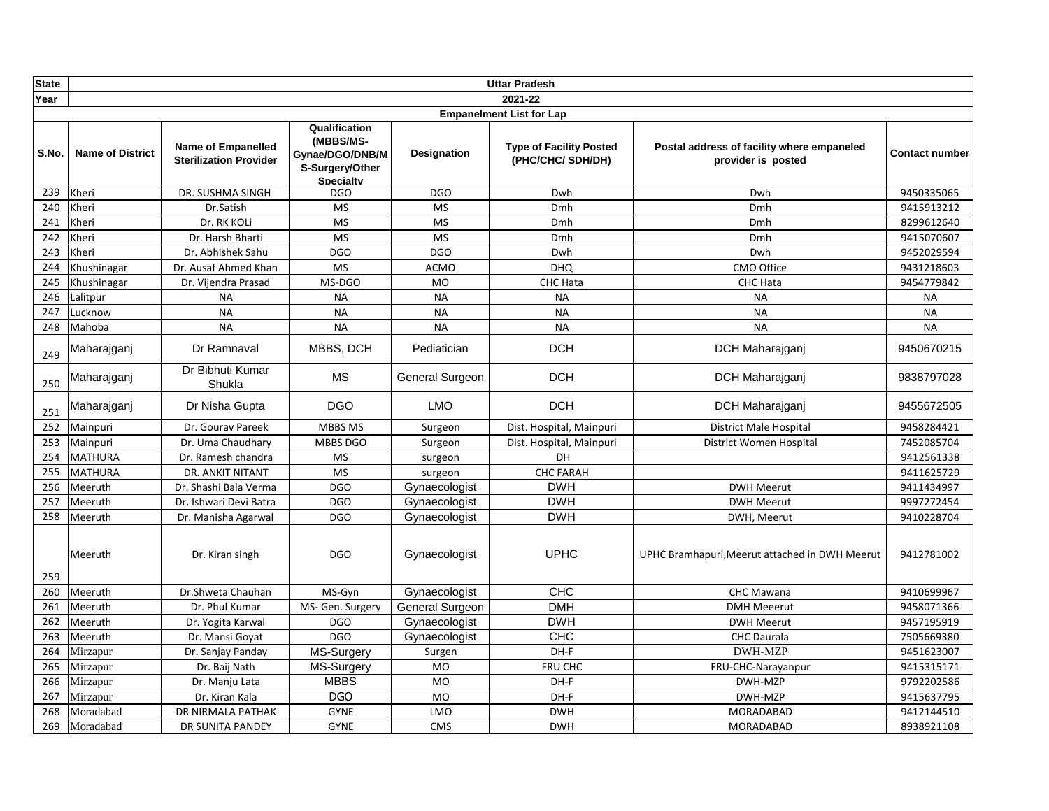| <b>State</b> |                         |                                                            |                                                                                      |                        | <b>Uttar Pradesh</b>                                |                                                                  |                |
|--------------|-------------------------|------------------------------------------------------------|--------------------------------------------------------------------------------------|------------------------|-----------------------------------------------------|------------------------------------------------------------------|----------------|
| Year         |                         |                                                            |                                                                                      |                        | 2021-22                                             |                                                                  |                |
|              |                         |                                                            |                                                                                      |                        | <b>Empanelment List for Lap</b>                     |                                                                  |                |
| S.No.        | <b>Name of District</b> | <b>Name of Empanelled</b><br><b>Sterilization Provider</b> | Qualification<br>(MBBS/MS-<br>Gynae/DGO/DNB/M<br>S-Surgery/Other<br><b>Specialty</b> | <b>Designation</b>     | <b>Type of Facility Posted</b><br>(PHC/CHC/ SDH/DH) | Postal address of facility where empaneled<br>provider is posted | Contact number |
| 239          | Kheri                   | DR. SUSHMA SINGH                                           | <b>DGO</b>                                                                           | <b>DGO</b>             | Dwh                                                 | Dwh                                                              | 9450335065     |
| 240          | Kheri                   | Dr.Satish                                                  | <b>MS</b>                                                                            | <b>MS</b>              | Dmh                                                 | Dmh                                                              | 9415913212     |
| 241          | Kheri                   | Dr. RK KOLi                                                | <b>MS</b>                                                                            | <b>MS</b>              | Dmh                                                 | Dmh                                                              | 8299612640     |
| 242          | Kheri                   | Dr. Harsh Bharti                                           | <b>MS</b>                                                                            | <b>MS</b>              | Dmh                                                 | Dmh                                                              | 9415070607     |
| 243          | Kheri                   | Dr. Abhishek Sahu                                          | <b>DGO</b>                                                                           | <b>DGO</b>             | Dwh                                                 | Dwh                                                              | 9452029594     |
| 244          | Khushinagar             | Dr. Ausaf Ahmed Khan                                       | <b>MS</b>                                                                            | <b>ACMO</b>            | <b>DHQ</b>                                          | CMO Office                                                       | 9431218603     |
| 245          | Khushinagar             | Dr. Vijendra Prasad                                        | MS-DGO                                                                               | <b>MO</b>              | CHC Hata                                            | <b>CHC Hata</b>                                                  | 9454779842     |
| 246          | Lalitpur                | <b>NA</b>                                                  | <b>NA</b>                                                                            | <b>NA</b>              | <b>NA</b>                                           | <b>NA</b>                                                        | <b>NA</b>      |
| 247          | Lucknow                 | <b>NA</b>                                                  | <b>NA</b>                                                                            | <b>NA</b>              | <b>NA</b>                                           | <b>NA</b>                                                        | <b>NA</b>      |
| 248          | Mahoba                  | <b>NA</b>                                                  | <b>NA</b>                                                                            | <b>NA</b>              | <b>NA</b>                                           | <b>NA</b>                                                        | <b>NA</b>      |
| 249          | Maharajganj             | Dr Ramnaval                                                | MBBS, DCH                                                                            | Pediatician            | <b>DCH</b>                                          | DCH Maharajganj                                                  | 9450670215     |
| 250          | Maharajganj             | Dr Bibhuti Kumar<br>Shukla                                 | <b>MS</b>                                                                            | <b>General Surgeon</b> | <b>DCH</b>                                          | DCH Maharajganj                                                  | 9838797028     |
| 251          | Maharajganj             | Dr Nisha Gupta                                             | <b>DGO</b>                                                                           | <b>LMO</b>             | <b>DCH</b>                                          | DCH Maharajganj                                                  | 9455672505     |
| 252          | Mainpuri                | Dr. Gourav Pareek                                          | MBBS MS                                                                              | Surgeon                | Dist. Hospital, Mainpuri                            | <b>District Male Hospital</b>                                    | 9458284421     |
| 253          | Mainpuri                | Dr. Uma Chaudhary                                          | MBBS DGO                                                                             | Surgeon                | Dist. Hospital, Mainpuri                            | District Women Hospital                                          | 7452085704     |
| 254          | <b>MATHURA</b>          | Dr. Ramesh chandra                                         | <b>MS</b>                                                                            | surgeon                | DH                                                  |                                                                  | 9412561338     |
| 255          | <b>MATHURA</b>          | <b>DR. ANKIT NITANT</b>                                    | <b>MS</b>                                                                            | surgeon                | <b>CHC FARAH</b>                                    |                                                                  | 9411625729     |
| 256          | Meeruth                 | Dr. Shashi Bala Verma                                      | <b>DGO</b>                                                                           | Gynaecologist          | <b>DWH</b>                                          | <b>DWH Meerut</b>                                                | 9411434997     |
| 257          | Meeruth                 | Dr. Ishwari Devi Batra                                     | <b>DGO</b>                                                                           | Gynaecologist          | <b>DWH</b>                                          | <b>DWH Meerut</b>                                                | 9997272454     |
| 258          | Meeruth                 | Dr. Manisha Agarwal                                        | <b>DGO</b>                                                                           | Gynaecologist          | <b>DWH</b>                                          | DWH, Meerut                                                      | 9410228704     |
| 259          | Meeruth                 | Dr. Kiran singh                                            | <b>DGO</b>                                                                           | Gynaecologist          | <b>UPHC</b>                                         | UPHC Bramhapuri, Meerut attached in DWH Meerut                   | 9412781002     |
| 260          | Meeruth                 | Dr.Shweta Chauhan                                          | MS-Gyn                                                                               | Gynaecologist          | <b>CHC</b>                                          | <b>CHC Mawana</b>                                                | 9410699967     |
| 261          | Meeruth                 | Dr. Phul Kumar                                             | MS- Gen. Surgery                                                                     | General Surgeon        | <b>DMH</b>                                          | <b>DMH Meeerut</b>                                               | 9458071366     |
| 262          | Meeruth                 | Dr. Yogita Karwal                                          | <b>DGO</b>                                                                           | Gynaecologist          | <b>DWH</b>                                          | <b>DWH Meerut</b>                                                | 9457195919     |
| 263          | Meeruth                 | Dr. Mansi Goyat                                            | <b>DGO</b>                                                                           | Gynaecologist          | CHC                                                 | CHC Daurala                                                      | 7505669380     |
| 264          | Mirzapur                | Dr. Sanjay Panday                                          | MS-Surgery                                                                           | Surgen                 | DH-F                                                | <b>DWH-MZP</b>                                                   | 9451623007     |
| 265          | Mirzapur                | Dr. Baij Nath                                              | MS-Surgery                                                                           | <b>MO</b>              | FRU CHC                                             | FRU-CHC-Narayanpur                                               | 9415315171     |
| 266          | Mirzapur                | Dr. Manju Lata                                             | <b>MBBS</b>                                                                          | <b>MO</b>              | DH-F                                                | DWH-MZP                                                          | 9792202586     |
| 267          | Mirzapur                | Dr. Kiran Kala                                             | DGO                                                                                  | <b>MO</b>              | DH-F                                                | DWH-MZP                                                          | 9415637795     |
| 268          | Moradabad               | DR NIRMALA PATHAK                                          | <b>GYNE</b>                                                                          | LMO                    | <b>DWH</b>                                          | MORADABAD                                                        | 9412144510     |
| 269          | Moradabad               | DR SUNITA PANDEY                                           | <b>GYNE</b>                                                                          | <b>CMS</b>             | <b>DWH</b>                                          | MORADABAD                                                        | 8938921108     |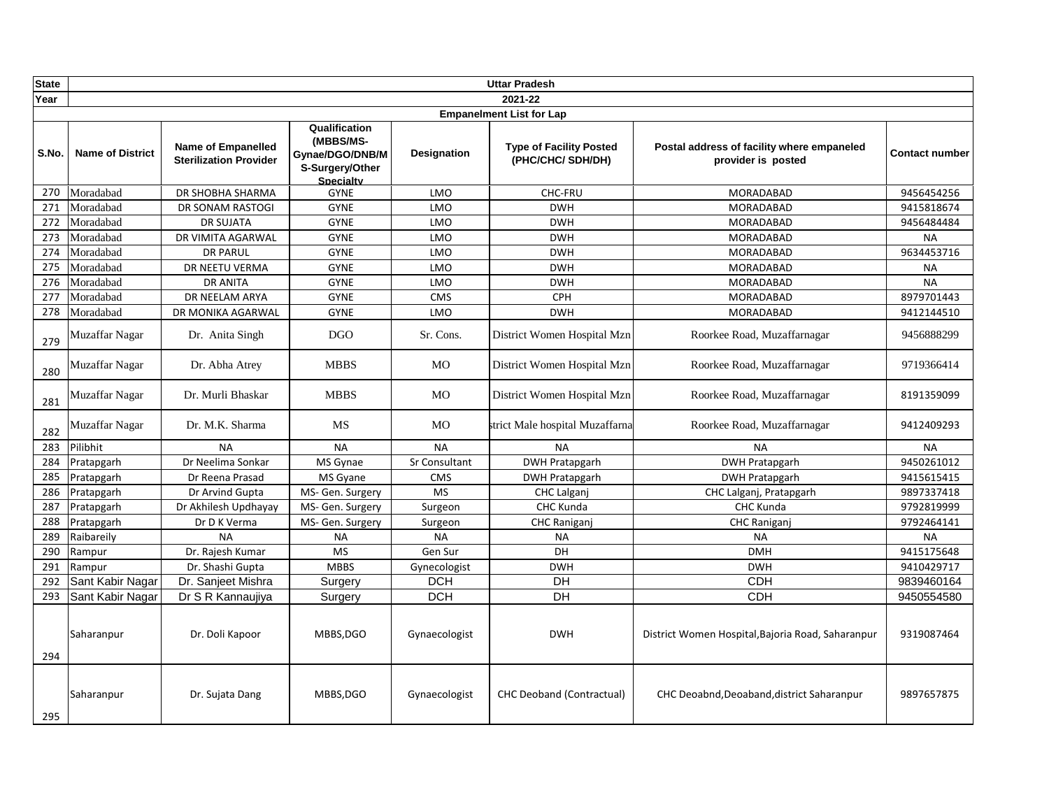| <b>State</b> |                         |                                                            |                                                                                      |                    | <b>Uttar Pradesh</b>                                |                                                                  |                       |
|--------------|-------------------------|------------------------------------------------------------|--------------------------------------------------------------------------------------|--------------------|-----------------------------------------------------|------------------------------------------------------------------|-----------------------|
| Year         |                         |                                                            |                                                                                      |                    | 2021-22                                             |                                                                  |                       |
|              |                         |                                                            |                                                                                      |                    | <b>Empanelment List for Lap</b>                     |                                                                  |                       |
| S.No.        | <b>Name of District</b> | <b>Name of Empanelled</b><br><b>Sterilization Provider</b> | Qualification<br>(MBBS/MS-<br>Gynae/DGO/DNB/M<br>S-Surgery/Other<br><b>Specialty</b> | <b>Designation</b> | <b>Type of Facility Posted</b><br>(PHC/CHC/ SDH/DH) | Postal address of facility where empaneled<br>provider is posted | <b>Contact number</b> |
| 270          | Moradabad               | DR SHOBHA SHARMA                                           | <b>GYNE</b>                                                                          | LMO                | CHC-FRU                                             | MORADABAD                                                        | 9456454256            |
| 271          | Moradabad               | DR SONAM RASTOGI                                           | <b>GYNE</b>                                                                          | LMO                | <b>DWH</b>                                          | <b>MORADABAD</b>                                                 | 9415818674            |
| 272          | Moradabad               | <b>DR SUJATA</b>                                           | <b>GYNE</b>                                                                          | LMO                | <b>DWH</b>                                          | MORADABAD                                                        | 9456484484            |
| 273          | Moradabad               | DR VIMITA AGARWAL                                          | <b>GYNE</b>                                                                          | LMO                | <b>DWH</b>                                          | MORADABAD                                                        | <b>NA</b>             |
| 274          | Moradabad               | <b>DR PARUL</b>                                            | <b>GYNE</b>                                                                          | LMO                | <b>DWH</b>                                          | MORADABAD                                                        | 9634453716            |
| 275          | Moradabad               | DR NEETU VERMA                                             | <b>GYNE</b>                                                                          | LMO                | <b>DWH</b>                                          | <b>MORADABAD</b>                                                 | <b>NA</b>             |
| 276          | Moradabad               | <b>DR ANITA</b>                                            | <b>GYNE</b>                                                                          | LMO                | <b>DWH</b>                                          | MORADABAD                                                        | <b>NA</b>             |
| 277          | Moradabad               | DR NEELAM ARYA                                             | <b>GYNE</b>                                                                          | <b>CMS</b>         | <b>CPH</b>                                          | <b>MORADABAD</b>                                                 | 8979701443            |
| 278          | Moradabad               | DR MONIKA AGARWAL                                          | <b>GYNE</b>                                                                          | LMO                | <b>DWH</b>                                          | MORADABAD                                                        | 9412144510            |
| 279          | Muzaffar Nagar          | Dr. Anita Singh                                            | <b>DGO</b>                                                                           | Sr. Cons.          | District Women Hospital Mzn                         | Roorkee Road, Muzaffarnagar                                      | 9456888299            |
| 280          | Muzaffar Nagar          | Dr. Abha Atrey                                             | <b>MBBS</b>                                                                          | <b>MO</b>          | District Women Hospital Mzn                         | Roorkee Road, Muzaffarnagar                                      | 9719366414            |
| 281          | Muzaffar Nagar          | Dr. Murli Bhaskar                                          | <b>MBBS</b>                                                                          | MO                 | District Women Hospital Mzn                         | Roorkee Road, Muzaffarnagar                                      | 8191359099            |
| 282          | Muzaffar Nagar          | Dr. M.K. Sharma                                            | <b>MS</b>                                                                            | <b>MO</b>          | strict Male hospital Muzaffarna                     | Roorkee Road, Muzaffarnagar                                      | 9412409293            |
| 283          | Pilibhit                | <b>NA</b>                                                  | <b>NA</b>                                                                            | <b>NA</b>          | <b>NA</b>                                           | <b>NA</b>                                                        | <b>NA</b>             |
| 284          | Pratapgarh              | Dr Neelima Sonkar                                          | MS Gynae                                                                             | Sr Consultant      | <b>DWH Pratapgarh</b>                               | <b>DWH Pratapgarh</b>                                            | 9450261012            |
| 285          | Pratapgarh              | Dr Reena Prasad                                            | MS Gyane                                                                             | <b>CMS</b>         | <b>DWH Pratapgarh</b>                               | <b>DWH Pratapgarh</b>                                            | 9415615415            |
| 286          | Pratapgarh              | Dr Arvind Gupta                                            | MS- Gen. Surgery                                                                     | <b>MS</b>          | CHC Lalganj                                         | CHC Lalganj, Pratapgarh                                          | 9897337418            |
| 287          | Pratapgarh              | Dr Akhilesh Updhayay                                       | MS- Gen. Surgery                                                                     | Surgeon            | CHC Kunda                                           | CHC Kunda                                                        | 9792819999            |
| 288          | Pratapgarh              | Dr D K Verma                                               | MS- Gen. Surgery                                                                     | Surgeon            | <b>CHC Raniganj</b>                                 | <b>CHC Raniganj</b>                                              | 9792464141            |
| 289          | Raibareily              | <b>NA</b>                                                  | <b>NA</b>                                                                            | <b>NA</b>          | <b>NA</b>                                           | <b>NA</b>                                                        | <b>NA</b>             |
| 290          | Rampur                  | Dr. Rajesh Kumar                                           | <b>MS</b>                                                                            | Gen Sur            | DH                                                  | <b>DMH</b>                                                       | 9415175648            |
| 291          | Rampur                  | Dr. Shashi Gupta                                           | <b>MBBS</b>                                                                          | Gynecologist       | <b>DWH</b>                                          | <b>DWH</b>                                                       | 9410429717            |
| 292          | Sant Kabir Nagar        | Dr. Sanjeet Mishra                                         | Surgery                                                                              | <b>DCH</b>         | DH                                                  | <b>CDH</b>                                                       | 9839460164            |
| 293          | Sant Kabir Nagar        | Dr S R Kannaujiya                                          | Surgery                                                                              | <b>DCH</b>         | DH                                                  | <b>CDH</b>                                                       | 9450554580            |
| 294          | Saharanpur              | Dr. Doli Kapoor                                            | MBBS, DGO                                                                            | Gynaecologist      | <b>DWH</b>                                          | District Women Hospital, Bajoria Road, Saharanpur                | 9319087464            |
| 295          | Saharanpur              | Dr. Sujata Dang                                            | MBBS, DGO                                                                            | Gynaecologist      | <b>CHC Deoband (Contractual)</b>                    | CHC Deoabnd, Deoaband, district Saharanpur                       | 9897657875            |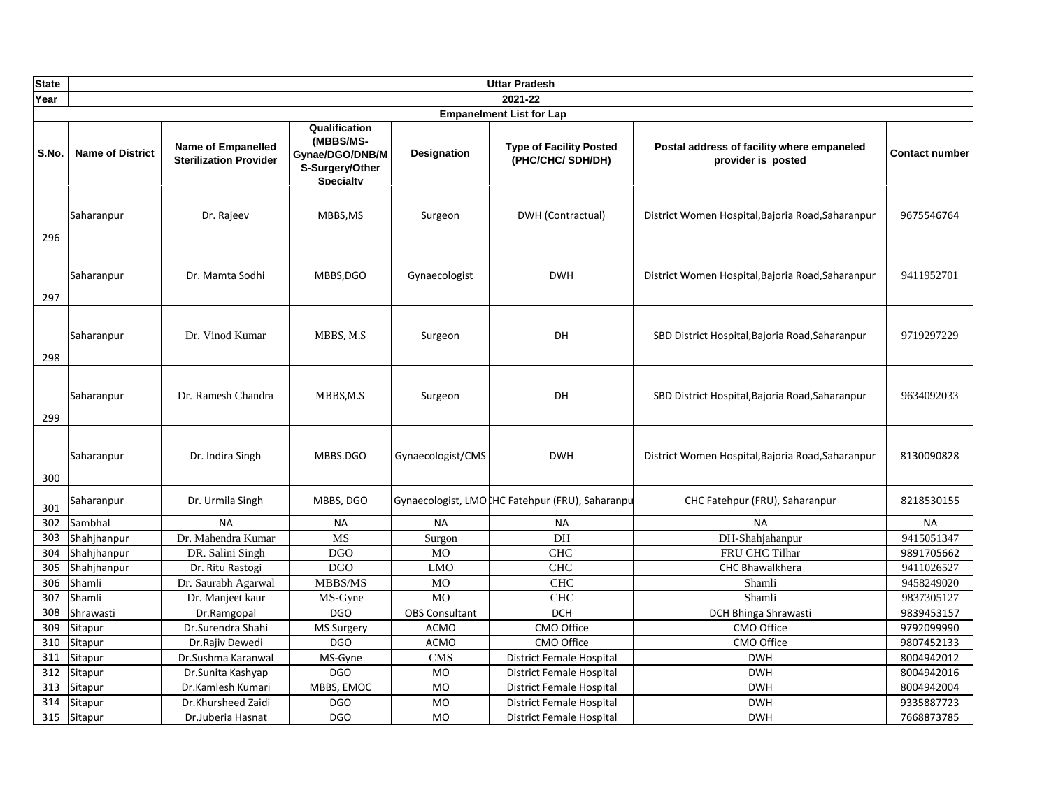| <b>State</b> |                         |                                                            |                                                                                      |                       | <b>Uttar Pradesh</b>                                |                                                                  |                |
|--------------|-------------------------|------------------------------------------------------------|--------------------------------------------------------------------------------------|-----------------------|-----------------------------------------------------|------------------------------------------------------------------|----------------|
| Year         |                         |                                                            |                                                                                      |                       | 2021-22                                             |                                                                  |                |
|              |                         |                                                            |                                                                                      |                       | <b>Empanelment List for Lap</b>                     |                                                                  |                |
| S.No.        | <b>Name of District</b> | <b>Name of Empanelled</b><br><b>Sterilization Provider</b> | Qualification<br>(MBBS/MS-<br>Gynae/DGO/DNB/M<br>S-Surgery/Other<br><b>Specialty</b> | Designation           | <b>Type of Facility Posted</b><br>(PHC/CHC/ SDH/DH) | Postal address of facility where empaneled<br>provider is posted | Contact number |
| 296          | Saharanpur              | Dr. Rajeev                                                 | MBBS, MS                                                                             | Surgeon               | DWH (Contractual)                                   | District Women Hospital, Bajoria Road, Saharanpur                | 9675546764     |
| 297          | Saharanpur              | Dr. Mamta Sodhi                                            | MBBS, DGO                                                                            | Gynaecologist         | <b>DWH</b>                                          | District Women Hospital, Bajoria Road, Saharanpur                | 9411952701     |
| 298          | Saharanpur              | Dr. Vinod Kumar                                            | MBBS, M.S                                                                            | Surgeon               | DH                                                  | SBD District Hospital, Bajoria Road, Saharanpur                  | 9719297229     |
| 299          | Saharanpur              | Dr. Ramesh Chandra                                         | MBBS,M.S                                                                             | Surgeon               | DH                                                  | SBD District Hospital, Bajoria Road, Saharanpur                  | 9634092033     |
| 300          | Saharanpur              | Dr. Indira Singh                                           | MBBS.DGO                                                                             | Gynaecologist/CMS     | <b>DWH</b>                                          | District Women Hospital, Bajoria Road, Saharanpur                | 8130090828     |
| 301          | Saharanpur              | Dr. Urmila Singh                                           | MBBS, DGO                                                                            |                       | Gynaecologist, LMOCHC Fatehpur (FRU), Saharanpu     | CHC Fatehpur (FRU), Saharanpur                                   | 8218530155     |
| 302          | Sambhal                 | <b>NA</b>                                                  | <b>NA</b>                                                                            | <b>NA</b>             | <b>NA</b>                                           | <b>NA</b>                                                        | <b>NA</b>      |
| 303          | Shahjhanpur             | Dr. Mahendra Kumar                                         | <b>MS</b>                                                                            | Surgon                | DH                                                  | DH-Shahjahanpur                                                  | 9415051347     |
| 304          | Shahjhanpur             | DR. Salini Singh                                           | <b>DGO</b>                                                                           | MO                    | <b>CHC</b>                                          | FRU CHC Tilhar                                                   | 9891705662     |
| 305          | Shahjhanpur             | Dr. Ritu Rastogi                                           | <b>DGO</b>                                                                           | <b>LMO</b>            | <b>CHC</b>                                          | CHC Bhawalkhera                                                  | 9411026527     |
| 306          | Shamli                  | Dr. Saurabh Agarwal                                        | MBBS/MS                                                                              | $_{\rm MO}$           | <b>CHC</b>                                          | Shamli                                                           | 9458249020     |
| 307          | Shamli                  | Dr. Manjeet kaur                                           | MS-Gyne                                                                              | <b>MO</b>             | <b>CHC</b>                                          | Shamli                                                           | 9837305127     |
| 308          | Shrawasti               | Dr.Ramgopal                                                | <b>DGO</b>                                                                           | <b>OBS Consultant</b> | <b>DCH</b>                                          | DCH Bhinga Shrawasti                                             | 9839453157     |
| 309          | Sitapur                 | Dr.Surendra Shahi                                          | MS Surgery                                                                           | <b>ACMO</b>           | CMO Office                                          | CMO Office                                                       | 9792099990     |
| 310          | Sitapur                 | Dr.Rajiv Dewedi                                            | <b>DGO</b>                                                                           | <b>ACMO</b>           | CMO Office                                          | CMO Office                                                       | 9807452133     |
| 311          | Sitapur                 | Dr.Sushma Karanwal                                         | MS-Gyne                                                                              | <b>CMS</b>            | <b>District Female Hospital</b>                     | <b>DWH</b>                                                       | 8004942012     |
| 312          | Sitapur                 | Dr.Sunita Kashyap                                          | <b>DGO</b>                                                                           | <b>MO</b>             | District Female Hospital                            | <b>DWH</b>                                                       | 8004942016     |
| 313          | Sitapur                 | Dr.Kamlesh Kumari                                          | MBBS, EMOC                                                                           | <b>MO</b>             | District Female Hospital                            | <b>DWH</b>                                                       | 8004942004     |
| 314          | Sitapur                 | Dr.Khursheed Zaidi                                         | <b>DGO</b>                                                                           | <b>MO</b>             | District Female Hospital                            | <b>DWH</b>                                                       | 9335887723     |
| 315          | Sitapur                 | Dr.Juberia Hasnat                                          | <b>DGO</b>                                                                           | <b>MO</b>             | District Female Hospital                            | <b>DWH</b>                                                       | 7668873785     |